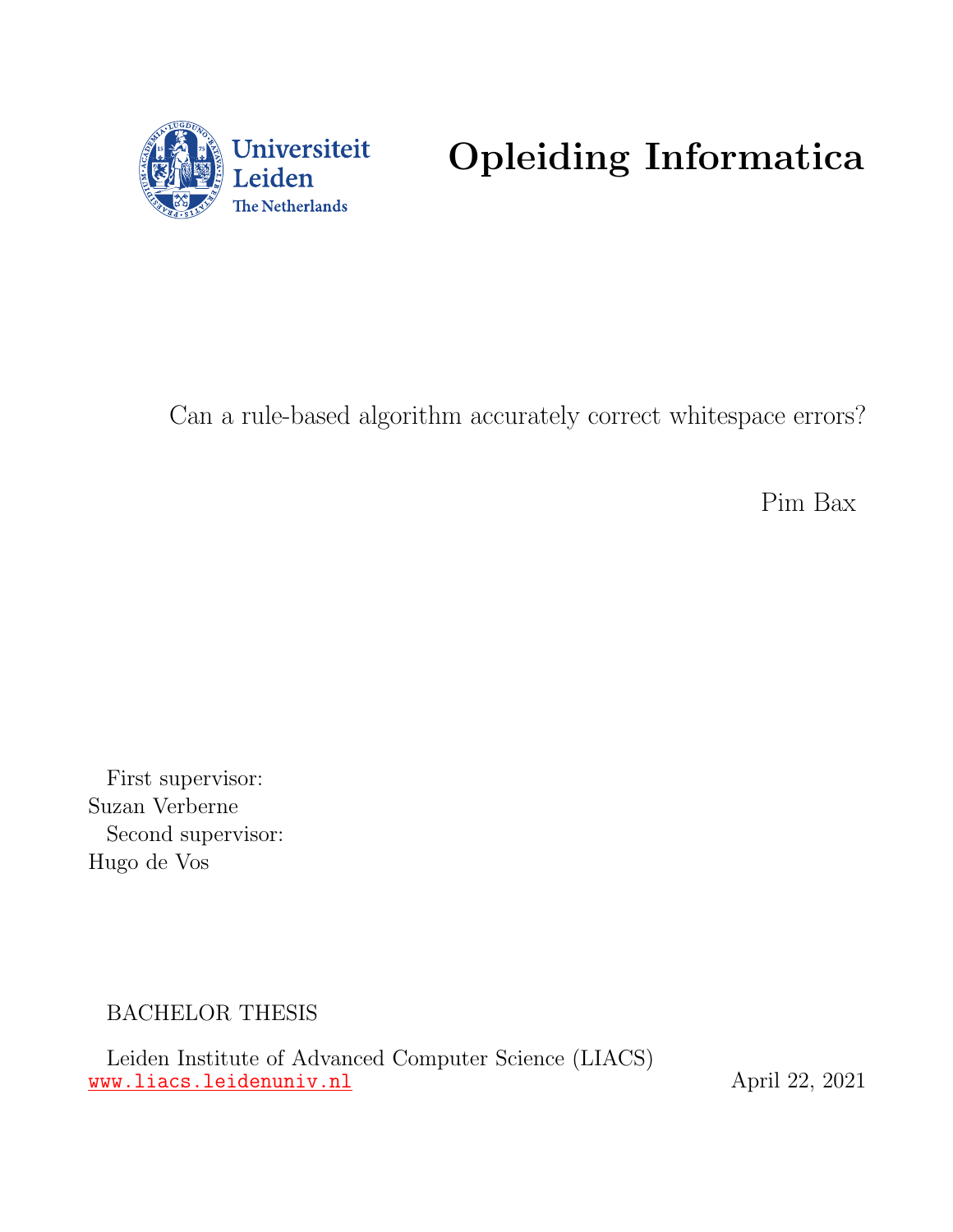

# Opleiding Informatica

Can a rule-based algorithm accurately correct whitespace errors?

Pim Bax

First supervisor: Suzan Verberne Second supervisor: Hugo de Vos

BACHELOR THESIS

Leiden Institute of Advanced Computer Science (LIACS) <www.liacs.leidenuniv.nl> https://www.liacs.leidenuniv.nl http://www.liacs.leidenuniv.nl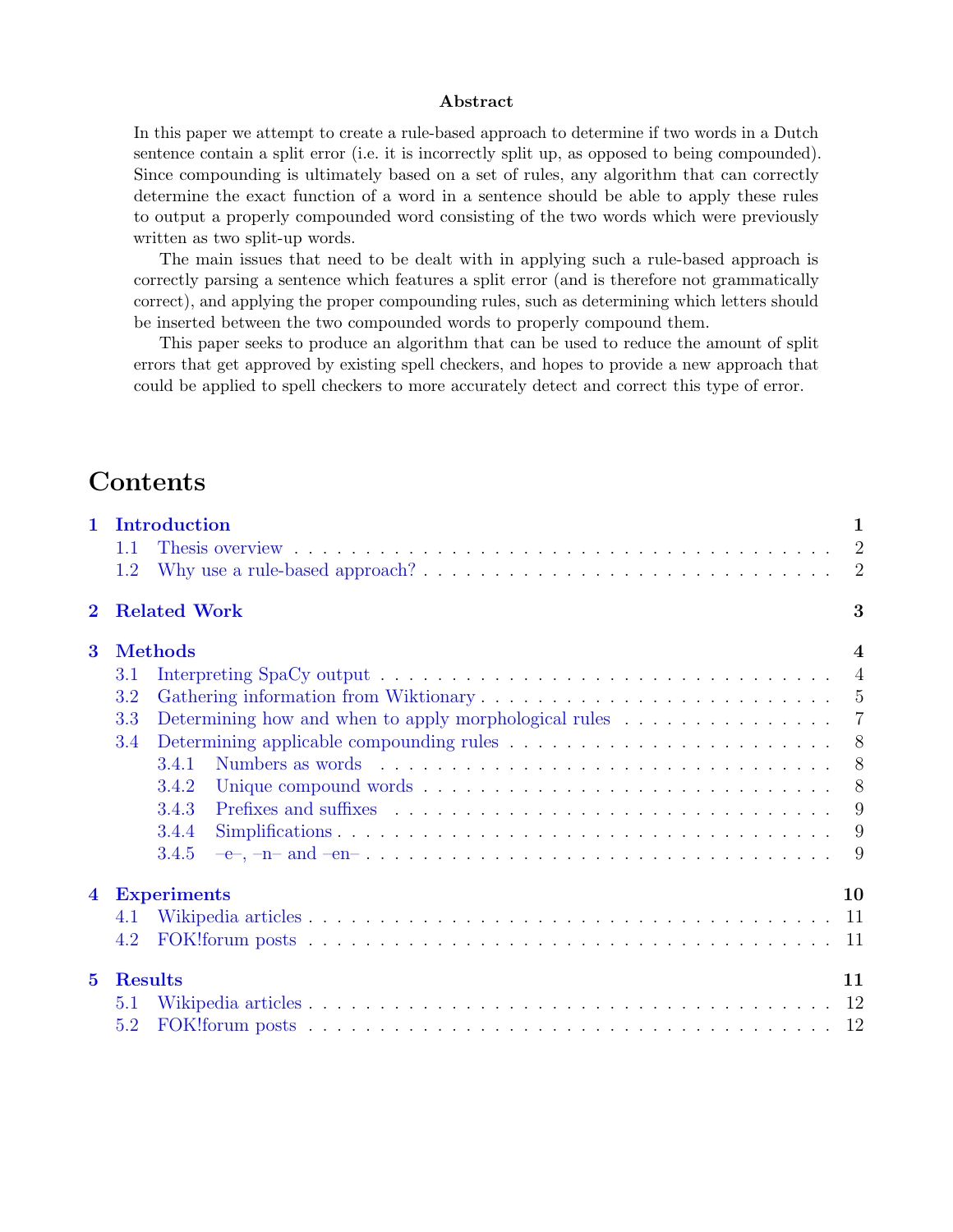#### Abstract

In this paper we attempt to create a rule-based approach to determine if two words in a Dutch sentence contain a split error (i.e. it is incorrectly split up, as opposed to being compounded). Since compounding is ultimately based on a set of rules, any algorithm that can correctly determine the exact function of a word in a sentence should be able to apply these rules to output a properly compounded word consisting of the two words which were previously written as two split-up words.

The main issues that need to be dealt with in applying such a rule-based approach is correctly parsing a sentence which features a split error (and is therefore not grammatically correct), and applying the proper compounding rules, such as determining which letters should be inserted between the two compounded words to properly compound them.

This paper seeks to produce an algorithm that can be used to reduce the amount of split errors that get approved by existing spell checkers, and hopes to provide a new approach that could be applied to spell checkers to more accurately detect and correct this type of error.

# **Contents**

| $\mathbf{1}$            | Introduction                                                                                        | $\mathbf{1}$            |
|-------------------------|-----------------------------------------------------------------------------------------------------|-------------------------|
|                         | 1.1                                                                                                 |                         |
|                         | 1.2                                                                                                 |                         |
| $\bf{2}$                | <b>Related Work</b>                                                                                 | 3                       |
| $\overline{\mathbf{3}}$ | <b>Methods</b>                                                                                      | $\overline{\mathbf{4}}$ |
|                         | $3.1\,$                                                                                             |                         |
|                         | 3.2                                                                                                 |                         |
|                         | Determining how and when to apply morphological rules $\ldots \ldots \ldots \ldots \ldots$ 7<br>3.3 |                         |
|                         | 3.4                                                                                                 |                         |
|                         | 3.4.1                                                                                               |                         |
|                         | 3.4.2                                                                                               |                         |
|                         | 3.4.3                                                                                               |                         |
|                         | 3.4.4                                                                                               |                         |
|                         | 3.4.5                                                                                               |                         |
| $\overline{\mathbf{4}}$ | <b>Experiments</b>                                                                                  | 10                      |
|                         | 4.1                                                                                                 |                         |
|                         | 4.2                                                                                                 |                         |
| 5 <sup>5</sup>          | <b>Results</b>                                                                                      | 11                      |
|                         | 5.1                                                                                                 |                         |
|                         | 5.2                                                                                                 |                         |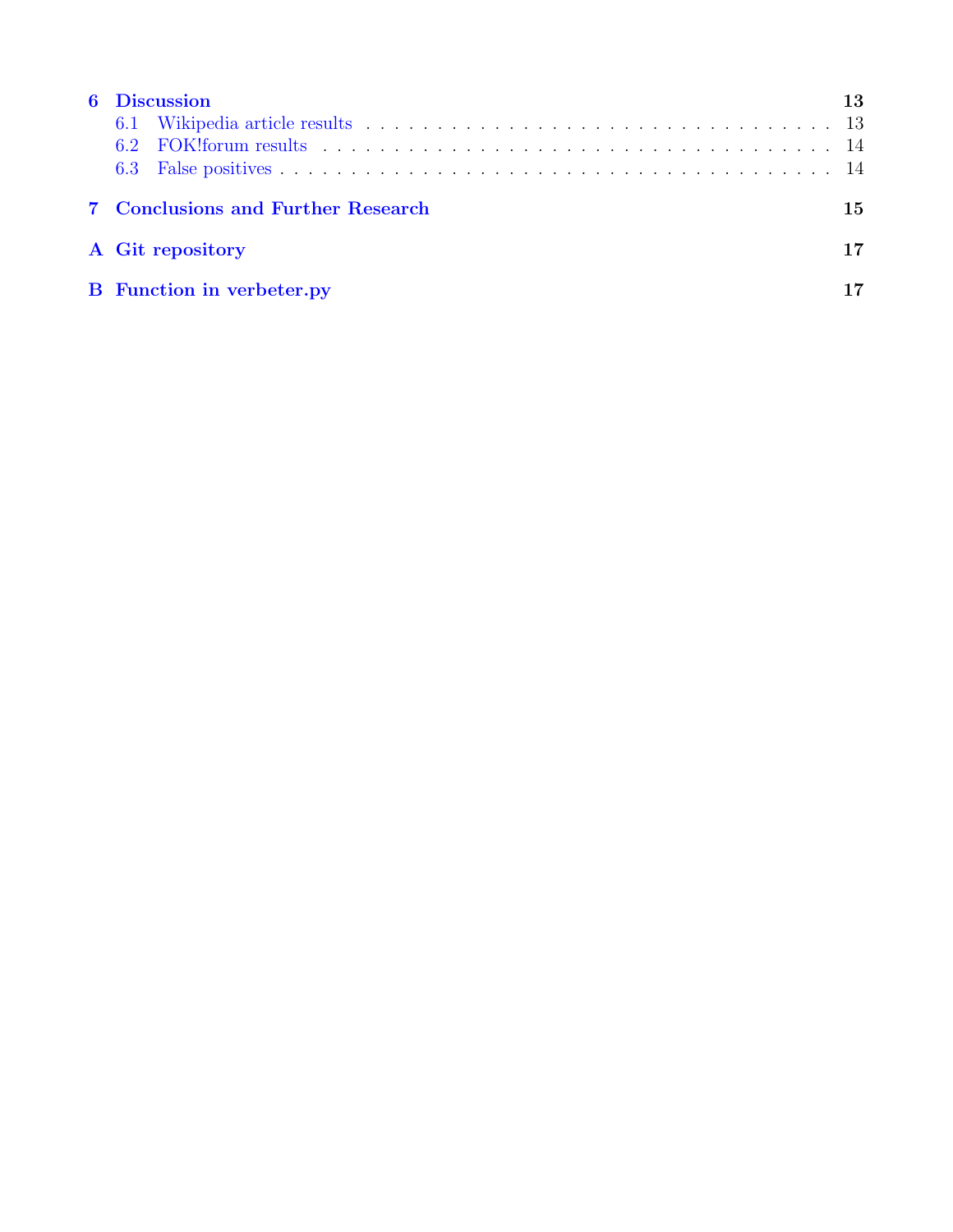| <b>6</b> Discussion                | 13  |
|------------------------------------|-----|
|                                    |     |
|                                    |     |
|                                    |     |
| 7 Conclusions and Further Research | 15. |
| A Git repository                   | 17  |
| <b>B</b> Function in verbeter.py   |     |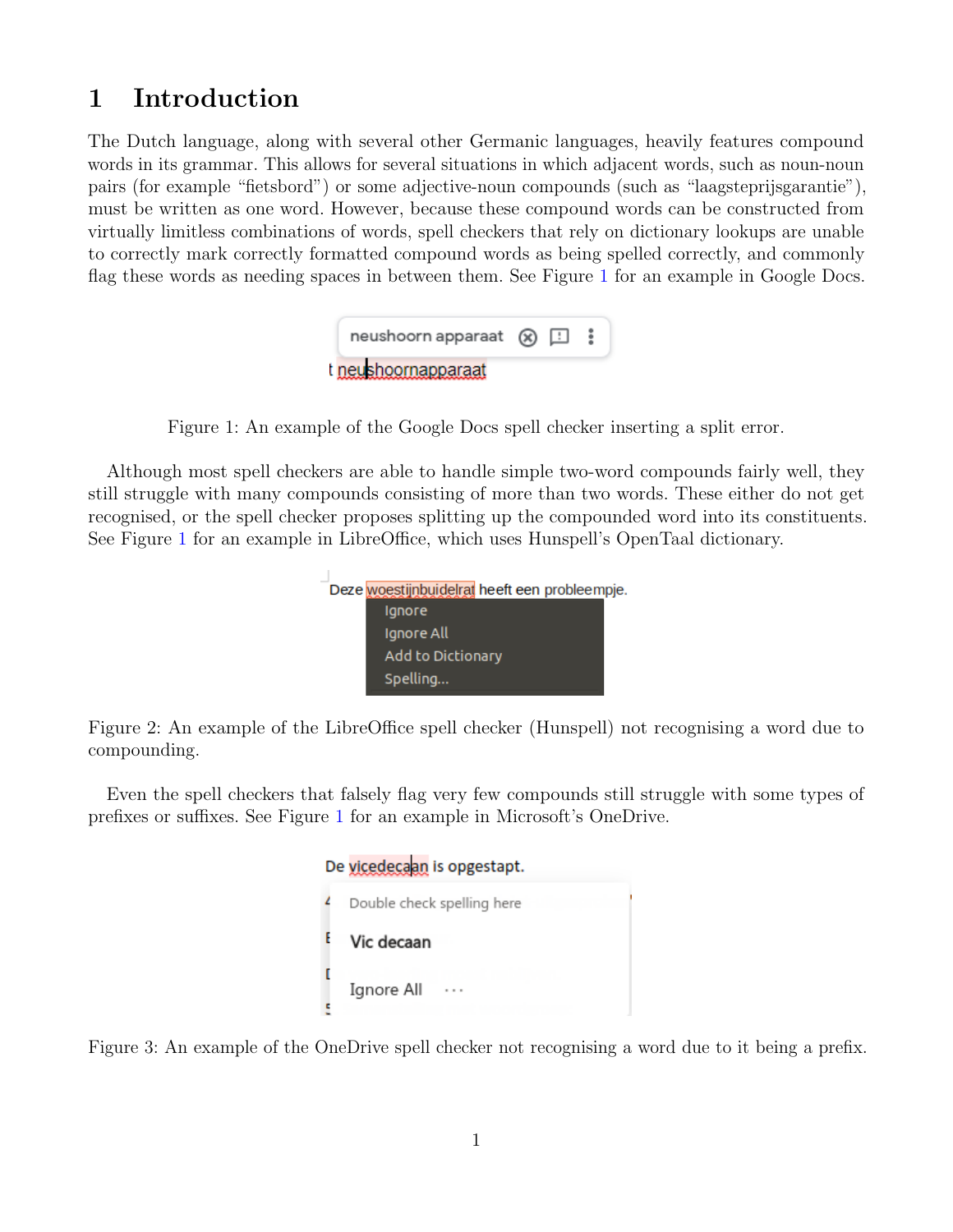# <span id="page-3-0"></span>1 Introduction

The Dutch language, along with several other Germanic languages, heavily features compound words in its grammar. This allows for several situations in which adjacent words, such as noun-noun pairs (for example "fietsbord") or some adjective-noun compounds (such as "laagsteprijsgarantie"), must be written as one word. However, because these compound words can be constructed from virtually limitless combinations of words, spell checkers that rely on dictionary lookups are unable to correctly mark correctly formatted compound words as being spelled correctly, and commonly flag these words as needing spaces in between them. See Figure [1](#page-3-0) for an example in Google Docs.

| neushoorn apparaat $(x)$ $\Box$ |  |  |
|---------------------------------|--|--|
| t neushoornapparaat             |  |  |

<span id="page-3-1"></span>Figure 1: An example of the Google Docs spell checker inserting a split error.

Although most spell checkers are able to handle simple two-word compounds fairly well, they still struggle with many compounds consisting of more than two words. These either do not get recognised, or the spell checker proposes splitting up the compounded word into its constituents. See Figure [1](#page-3-1) for an example in LibreOffice, which uses Hunspell's OpenTaal dictionary.

| Ignore            |                                               |
|-------------------|-----------------------------------------------|
| Ignore All        |                                               |
| Add to Dictionary |                                               |
| Spelling          |                                               |
|                   | Deze woestijnbuidelrat heeft een probleempje. |

<span id="page-3-2"></span>Figure 2: An example of the LibreOffice spell checker (Hunspell) not recognising a word due to compounding.

Even the spell checkers that falsely flag very few compounds still struggle with some types of prefixes or suffixes. See Figure [1](#page-3-2) for an example in Microsoft's OneDrive.

| De vicedecaan is opgestapt. |                            |  |  |  |  |
|-----------------------------|----------------------------|--|--|--|--|
|                             | Double check spelling here |  |  |  |  |
|                             | Vic decaan                 |  |  |  |  |
|                             | Ignore All                 |  |  |  |  |

<span id="page-3-3"></span>Figure 3: An example of the OneDrive spell checker not recognising a word due to it being a prefix.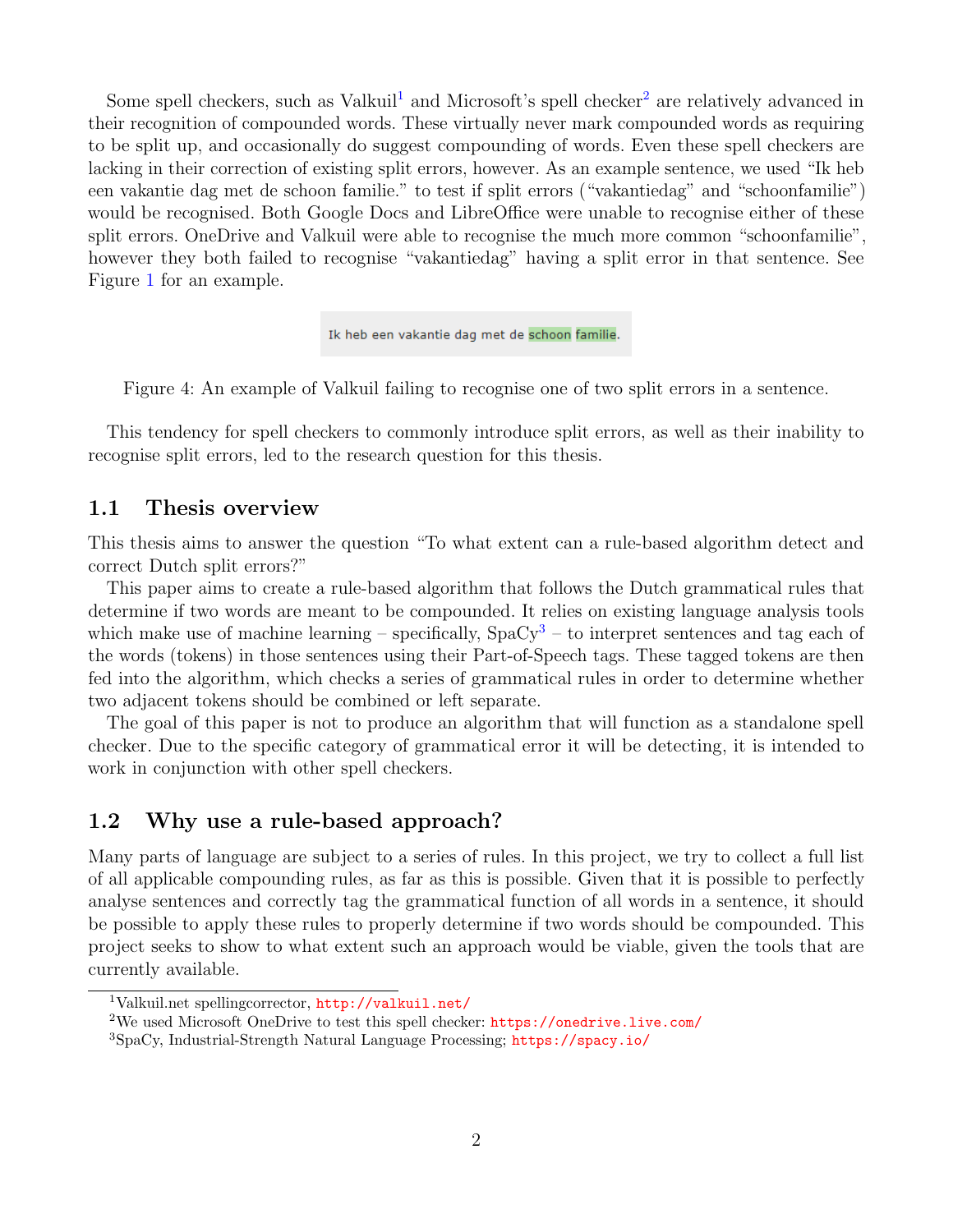Some spell checkers, such as Valkuil<sup>[1](#page-4-2)</sup> and Microsoft's spell checker<sup>[2](#page-4-3)</sup> are relatively advanced in their recognition of compounded words. These virtually never mark compounded words as requiring to be split up, and occasionally do suggest compounding of words. Even these spell checkers are lacking in their correction of existing split errors, however. As an example sentence, we used "Ik heb een vakantie dag met de schoon familie." to test if split errors ("vakantiedag" and "schoonfamilie") would be recognised. Both Google Docs and LibreOffice were unable to recognise either of these split errors. OneDrive and Valkuil were able to recognise the much more common "schoonfamilie", however they both failed to recognise "vakantiedag" having a split error in that sentence. See Figure [1](#page-3-3) for an example.

Ik heb een vakantie dag met de schoon familie.

Figure 4: An example of Valkuil failing to recognise one of two split errors in a sentence.

This tendency for spell checkers to commonly introduce split errors, as well as their inability to recognise split errors, led to the research question for this thesis.

### <span id="page-4-0"></span>1.1 Thesis overview

This thesis aims to answer the question "To what extent can a rule-based algorithm detect and correct Dutch split errors?"

This paper aims to create a rule-based algorithm that follows the Dutch grammatical rules that determine if two words are meant to be compounded. It relies on existing language analysis tools which make use of machine learning – specifically,  $SpaCy<sup>3</sup>$  $SpaCy<sup>3</sup>$  $SpaCy<sup>3</sup>$  – to interpret sentences and tag each of the words (tokens) in those sentences using their Part-of-Speech tags. These tagged tokens are then fed into the algorithm, which checks a series of grammatical rules in order to determine whether two adjacent tokens should be combined or left separate.

The goal of this paper is not to produce an algorithm that will function as a standalone spell checker. Due to the specific category of grammatical error it will be detecting, it is intended to work in conjunction with other spell checkers.

### <span id="page-4-1"></span>1.2 Why use a rule-based approach?

Many parts of language are subject to a series of rules. In this project, we try to collect a full list of all applicable compounding rules, as far as this is possible. Given that it is possible to perfectly analyse sentences and correctly tag the grammatical function of all words in a sentence, it should be possible to apply these rules to properly determine if two words should be compounded. This project seeks to show to what extent such an approach would be viable, given the tools that are currently available.

<span id="page-4-2"></span><sup>1</sup>Valkuil.net spellingcorrector, <http://valkuil.net/>

<span id="page-4-3"></span><sup>2</sup>We used Microsoft OneDrive to test this spell checker: <https://onedrive.live.com/>

<span id="page-4-4"></span><sup>3</sup>SpaCy, Industrial-Strength Natural Language Processing; <https://spacy.io/>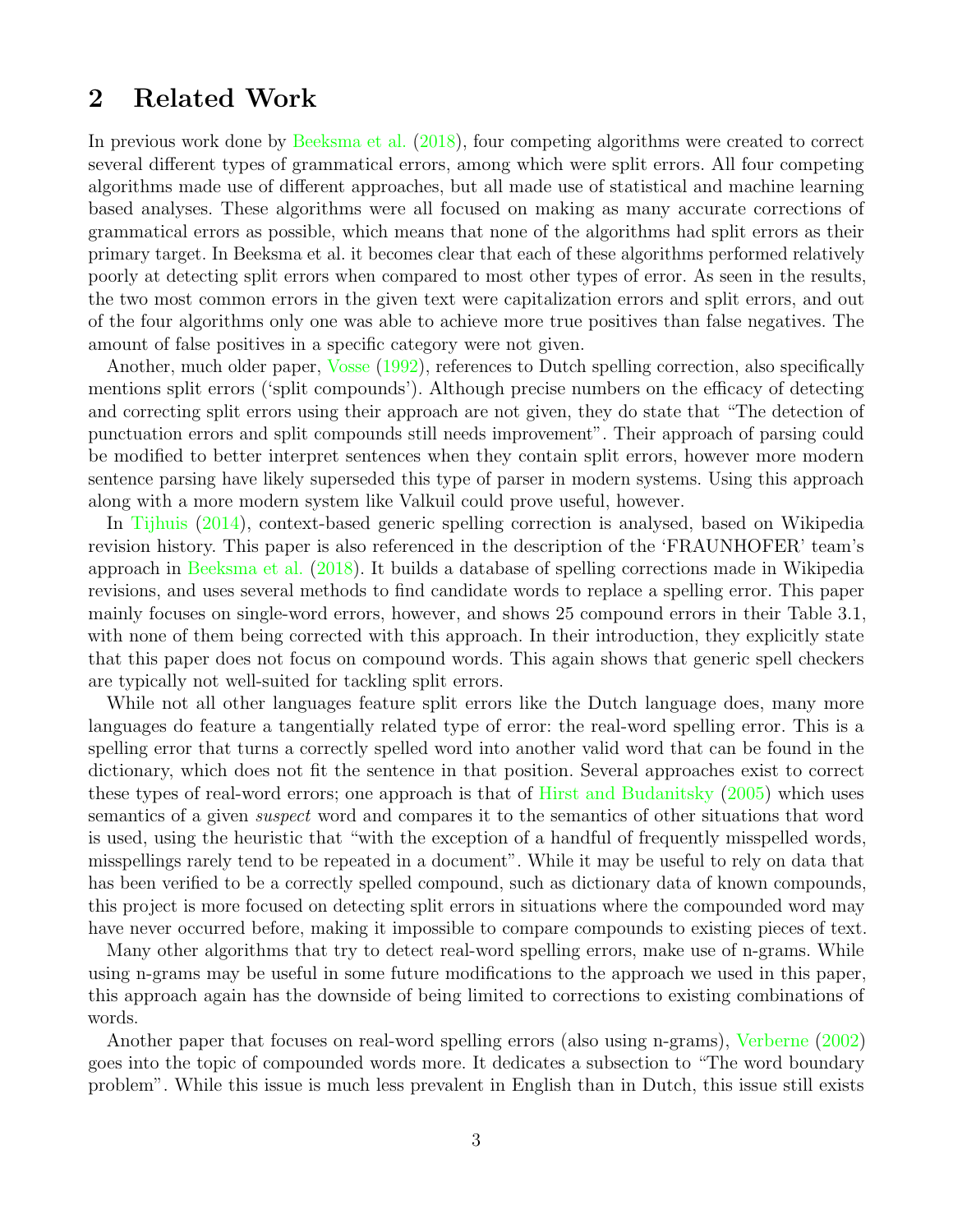## <span id="page-5-0"></span>2 Related Work

In previous work done by [Beeksma et al.](#page-18-0) [\(2018\)](#page-18-0), four competing algorithms were created to correct several different types of grammatical errors, among which were split errors. All four competing algorithms made use of different approaches, but all made use of statistical and machine learning based analyses. These algorithms were all focused on making as many accurate corrections of grammatical errors as possible, which means that none of the algorithms had split errors as their primary target. In Beeksma et al. it becomes clear that each of these algorithms performed relatively poorly at detecting split errors when compared to most other types of error. As seen in the results, the two most common errors in the given text were capitalization errors and split errors, and out of the four algorithms only one was able to achieve more true positives than false negatives. The amount of false positives in a specific category were not given.

Another, much older paper, [Vosse](#page-18-1) [\(1992\)](#page-18-1), references to Dutch spelling correction, also specifically mentions split errors ('split compounds'). Although precise numbers on the efficacy of detecting and correcting split errors using their approach are not given, they do state that "The detection of punctuation errors and split compounds still needs improvement". Their approach of parsing could be modified to better interpret sentences when they contain split errors, however more modern sentence parsing have likely superseded this type of parser in modern systems. Using this approach along with a more modern system like Valkuil could prove useful, however.

In [Tijhuis](#page-18-2) [\(2014\)](#page-18-2), context-based generic spelling correction is analysed, based on Wikipedia revision history. This paper is also referenced in the description of the 'FRAUNHOFER' team's approach in [Beeksma et al.](#page-18-0) [\(2018\)](#page-18-0). It builds a database of spelling corrections made in Wikipedia revisions, and uses several methods to find candidate words to replace a spelling error. This paper mainly focuses on single-word errors, however, and shows 25 compound errors in their Table 3.1, with none of them being corrected with this approach. In their introduction, they explicitly state that this paper does not focus on compound words. This again shows that generic spell checkers are typically not well-suited for tackling split errors.

While not all other languages feature split errors like the Dutch language does, many more languages do feature a tangentially related type of error: the real-word spelling error. This is a spelling error that turns a correctly spelled word into another valid word that can be found in the dictionary, which does not fit the sentence in that position. Several approaches exist to correct these types of real-word errors; one approach is that of [Hirst and Budanitsky](#page-18-3) [\(2005\)](#page-18-3) which uses semantics of a given suspect word and compares it to the semantics of other situations that word is used, using the heuristic that "with the exception of a handful of frequently misspelled words, misspellings rarely tend to be repeated in a document". While it may be useful to rely on data that has been verified to be a correctly spelled compound, such as dictionary data of known compounds, this project is more focused on detecting split errors in situations where the compounded word may have never occurred before, making it impossible to compare compounds to existing pieces of text.

Many other algorithms that try to detect real-word spelling errors, make use of n-grams. While using n-grams may be useful in some future modifications to the approach we used in this paper, this approach again has the downside of being limited to corrections to existing combinations of words.

Another paper that focuses on real-word spelling errors (also using n-grams), [Verberne](#page-18-4) [\(2002\)](#page-18-4) goes into the topic of compounded words more. It dedicates a subsection to "The word boundary problem". While this issue is much less prevalent in English than in Dutch, this issue still exists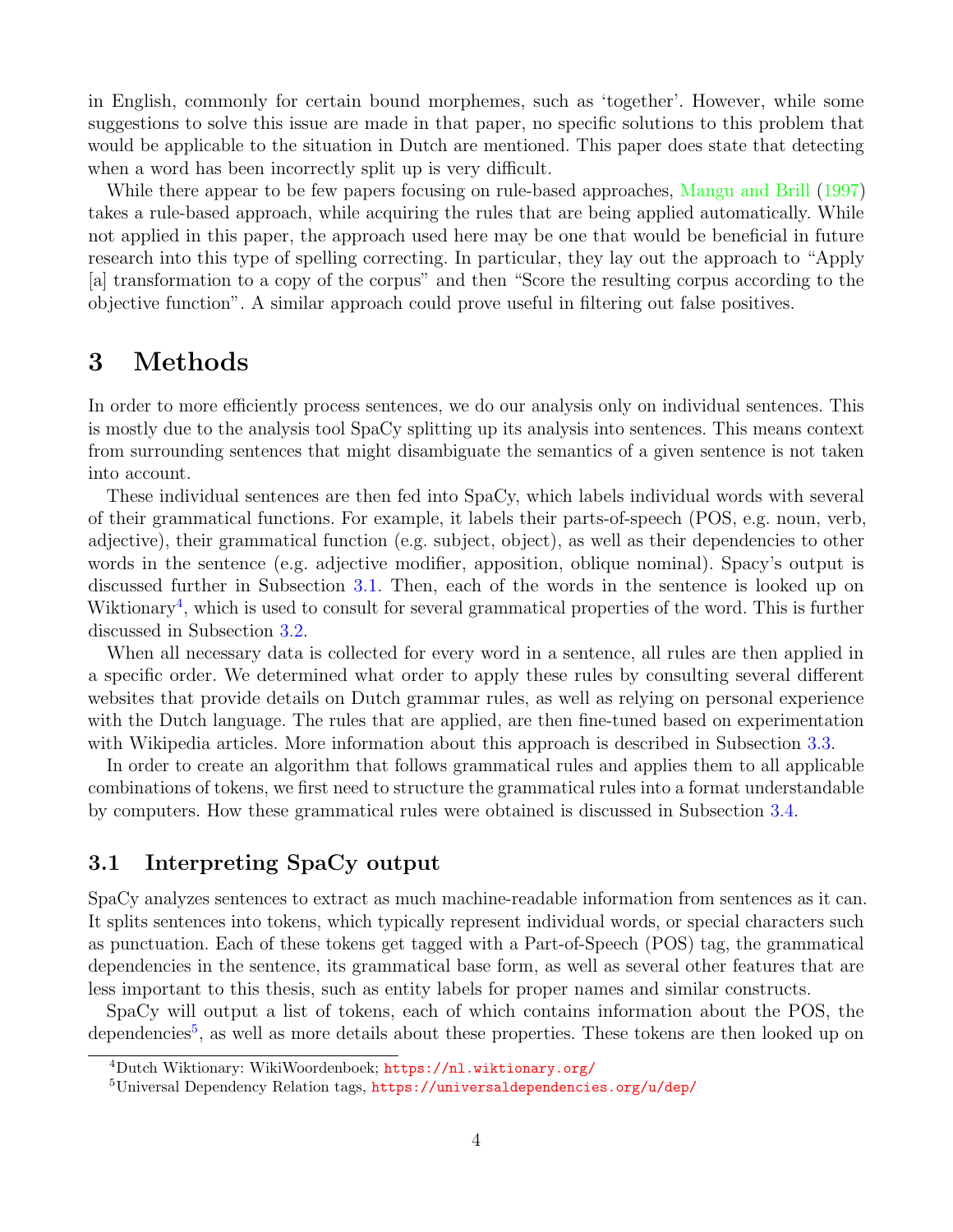in English, commonly for certain bound morphemes, such as 'together'. However, while some suggestions to solve this issue are made in that paper, no specific solutions to this problem that would be applicable to the situation in Dutch are mentioned. This paper does state that detecting when a word has been incorrectly split up is very difficult.

While there appear to be few papers focusing on rule-based approaches, [Mangu and Brill](#page-18-5) [\(1997\)](#page-18-5) takes a rule-based approach, while acquiring the rules that are being applied automatically. While not applied in this paper, the approach used here may be one that would be beneficial in future research into this type of spelling correcting. In particular, they lay out the approach to "Apply [a] transformation to a copy of the corpus" and then "Score the resulting corpus according to the objective function". A similar approach could prove useful in filtering out false positives.

## <span id="page-6-0"></span>3 Methods

In order to more efficiently process sentences, we do our analysis only on individual sentences. This is mostly due to the analysis tool SpaCy splitting up its analysis into sentences. This means context from surrounding sentences that might disambiguate the semantics of a given sentence is not taken into account.

These individual sentences are then fed into SpaCy, which labels individual words with several of their grammatical functions. For example, it labels their parts-of-speech (POS, e.g. noun, verb, adjective), their grammatical function (e.g. subject, object), as well as their dependencies to other words in the sentence (e.g. adjective modifier, apposition, oblique nominal). Spacy's output is discussed further in Subsection [3.1.](#page-6-1) Then, each of the words in the sentence is looked up on Wiktionary<sup>[4](#page-6-2)</sup>, which is used to consult for several grammatical properties of the word. This is further discussed in Subsection [3.2.](#page-7-0)

When all necessary data is collected for every word in a sentence, all rules are then applied in a specific order. We determined what order to apply these rules by consulting several different websites that provide details on Dutch grammar rules, as well as relying on personal experience with the Dutch language. The rules that are applied, are then fine-tuned based on experimentation with Wikipedia articles. More information about this approach is described in Subsection [3.3.](#page-9-0)

In order to create an algorithm that follows grammatical rules and applies them to all applicable combinations of tokens, we first need to structure the grammatical rules into a format understandable by computers. How these grammatical rules were obtained is discussed in Subsection [3.4.](#page-10-0)

## <span id="page-6-1"></span>3.1 Interpreting SpaCy output

SpaCy analyzes sentences to extract as much machine-readable information from sentences as it can. It splits sentences into tokens, which typically represent individual words, or special characters such as punctuation. Each of these tokens get tagged with a Part-of-Speech (POS) tag, the grammatical dependencies in the sentence, its grammatical base form, as well as several other features that are less important to this thesis, such as entity labels for proper names and similar constructs.

SpaCy will output a list of tokens, each of which contains information about the POS, the dependencies<sup>[5](#page-6-3)</sup>, as well as more details about these properties. These tokens are then looked up on

<span id="page-6-2"></span><sup>4</sup>Dutch Wiktionary: WikiWoordenboek; <https://nl.wiktionary.org/>

<span id="page-6-3"></span><sup>5</sup>Universal Dependency Relation tags, <https://universaldependencies.org/u/dep/>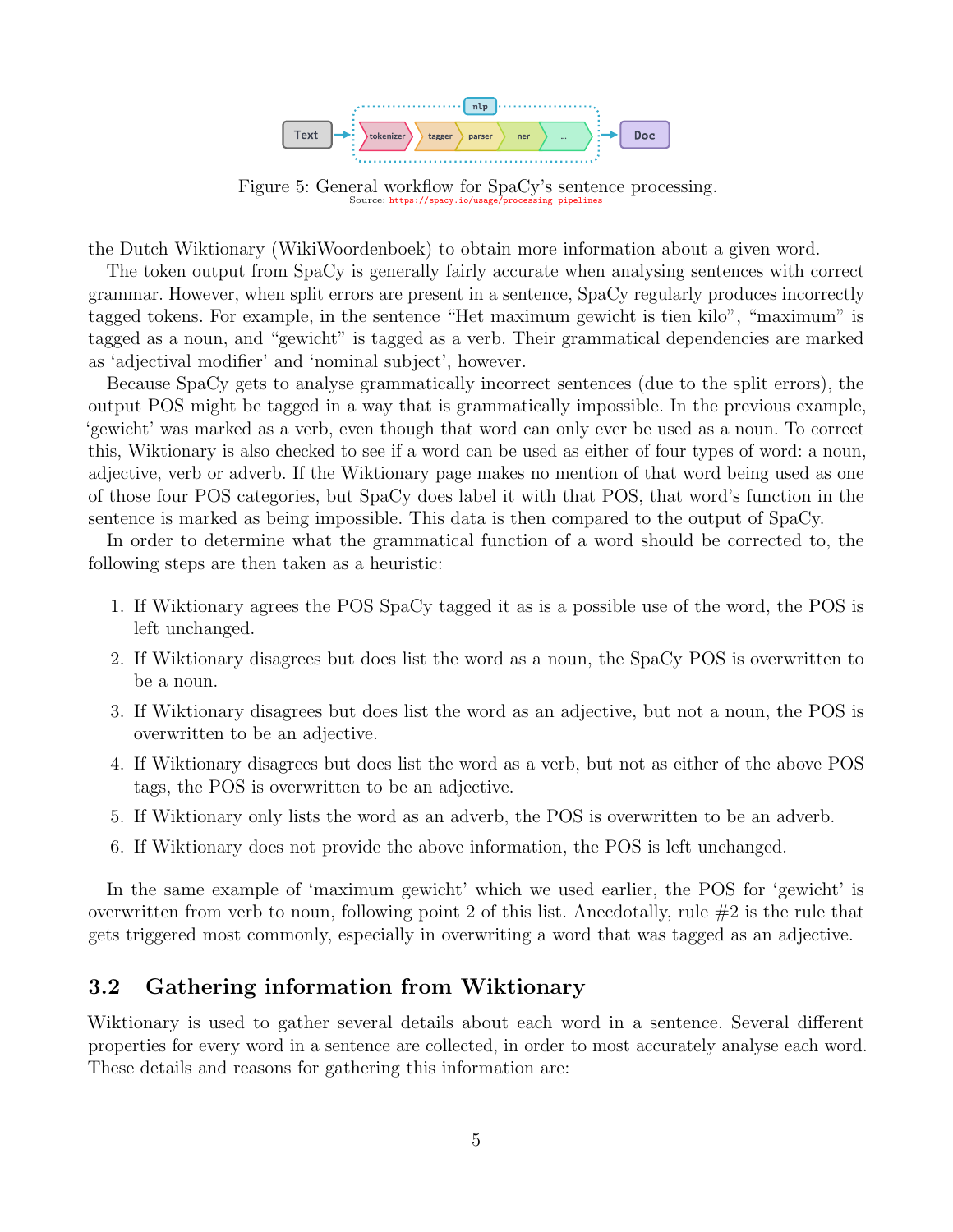

Figure 5: General workflow for SpaCy's sentence processing. Source: https://spacy.io/usage

the Dutch Wiktionary (WikiWoordenboek) to obtain more information about a given word.

The token output from SpaCy is generally fairly accurate when analysing sentences with correct grammar. However, when split errors are present in a sentence, SpaCy regularly produces incorrectly tagged tokens. For example, in the sentence "Het maximum gewicht is tien kilo", "maximum" is tagged as a noun, and "gewicht" is tagged as a verb. Their grammatical dependencies are marked as 'adjectival modifier' and 'nominal subject', however.

Because SpaCy gets to analyse grammatically incorrect sentences (due to the split errors), the output POS might be tagged in a way that is grammatically impossible. In the previous example, 'gewicht' was marked as a verb, even though that word can only ever be used as a noun. To correct this, Wiktionary is also checked to see if a word can be used as either of four types of word: a noun, adjective, verb or adverb. If the Wiktionary page makes no mention of that word being used as one of those four POS categories, but SpaCy does label it with that POS, that word's function in the sentence is marked as being impossible. This data is then compared to the output of SpaCy.

In order to determine what the grammatical function of a word should be corrected to, the following steps are then taken as a heuristic:

- 1. If Wiktionary agrees the POS SpaCy tagged it as is a possible use of the word, the POS is left unchanged.
- 2. If Wiktionary disagrees but does list the word as a noun, the SpaCy POS is overwritten to be a noun.
- 3. If Wiktionary disagrees but does list the word as an adjective, but not a noun, the POS is overwritten to be an adjective.
- 4. If Wiktionary disagrees but does list the word as a verb, but not as either of the above POS tags, the POS is overwritten to be an adjective.
- 5. If Wiktionary only lists the word as an adverb, the POS is overwritten to be an adverb.
- 6. If Wiktionary does not provide the above information, the POS is left unchanged.

In the same example of 'maximum gewicht' which we used earlier, the POS for 'gewicht' is overwritten from verb to noun, following point 2 of this list. Anecdotally, rule  $#2$  is the rule that gets triggered most commonly, especially in overwriting a word that was tagged as an adjective.

## <span id="page-7-0"></span>3.2 Gathering information from Wiktionary

Wiktionary is used to gather several details about each word in a sentence. Several different properties for every word in a sentence are collected, in order to most accurately analyse each word. These details and reasons for gathering this information are: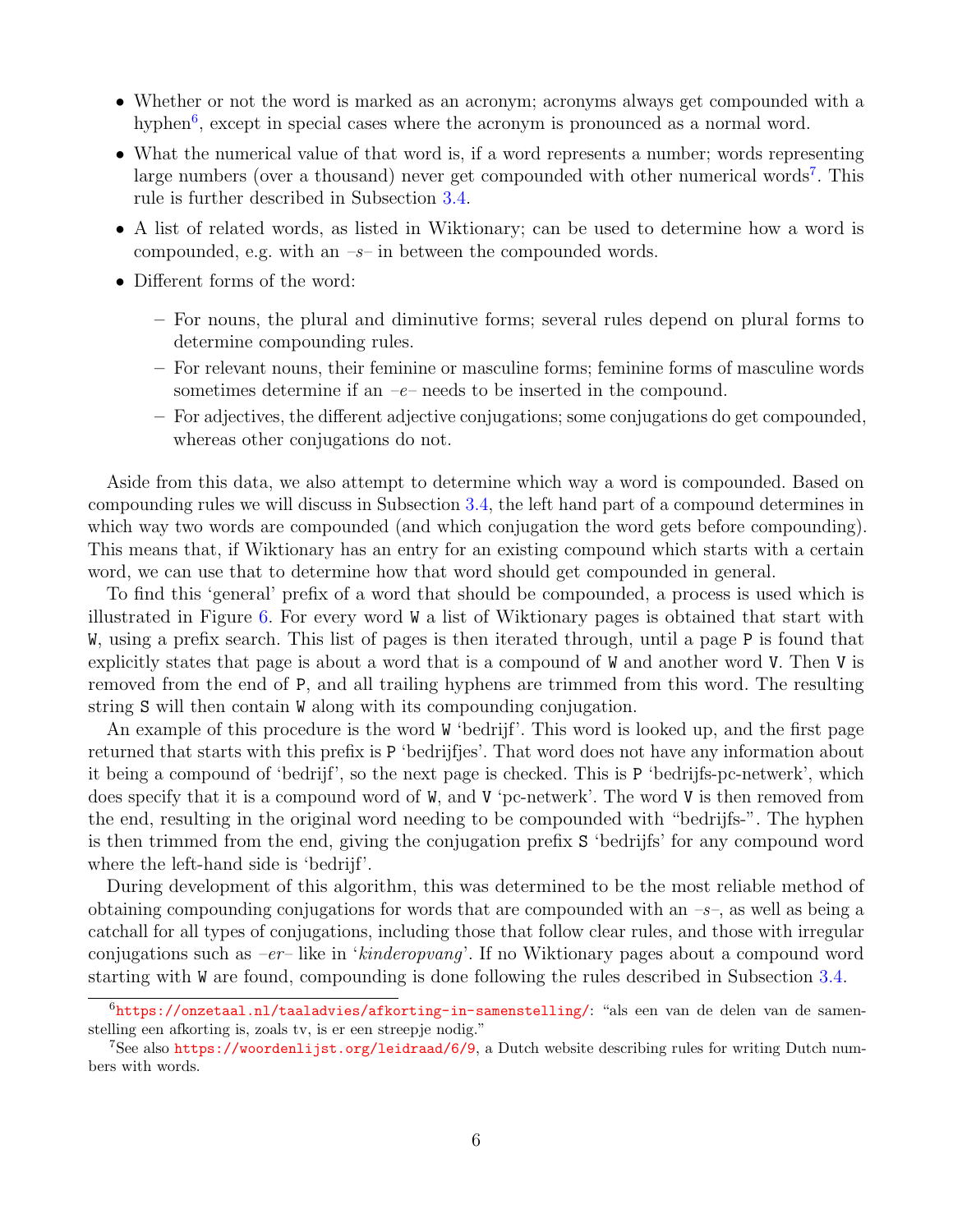- Whether or not the word is marked as an acronym; acronyms always get compounded with a hyphen<sup>[6](#page-8-0)</sup>, except in special cases where the acronym is pronounced as a normal word.
- What the numerical value of that word is, if a word represents a number; words representing large numbers (over a thousand) never get compounded with other numerical words<sup>[7](#page-8-1)</sup>. This rule is further described in Subsection [3.4.](#page-10-0)
- A list of related words, as listed in Wiktionary; can be used to determine how a word is compounded, e.g. with an  $-s$ – in between the compounded words.
- Different forms of the word:
	- For nouns, the plural and diminutive forms; several rules depend on plural forms to determine compounding rules.
	- For relevant nouns, their feminine or masculine forms; feminine forms of masculine words sometimes determine if an  $-e$ – needs to be inserted in the compound.
	- For adjectives, the different adjective conjugations; some conjugations do get compounded, whereas other conjugations do not.

Aside from this data, we also attempt to determine which way a word is compounded. Based on compounding rules we will discuss in Subsection [3.4,](#page-10-0) the left hand part of a compound determines in which way two words are compounded (and which conjugation the word gets before compounding). This means that, if Wiktionary has an entry for an existing compound which starts with a certain word, we can use that to determine how that word should get compounded in general.

To find this 'general' prefix of a word that should be compounded, a process is used which is illustrated in Figure [6.](#page-9-1) For every word W a list of Wiktionary pages is obtained that start with W, using a prefix search. This list of pages is then iterated through, until a page P is found that explicitly states that page is about a word that is a compound of W and another word V. Then V is removed from the end of P, and all trailing hyphens are trimmed from this word. The resulting string S will then contain W along with its compounding conjugation.

An example of this procedure is the word W 'bedrijf'. This word is looked up, and the first page returned that starts with this prefix is P 'bedrijfjes'. That word does not have any information about it being a compound of 'bedrijf', so the next page is checked. This is P 'bedrijfs-pc-netwerk', which does specify that it is a compound word of W, and V 'pc-netwerk'. The word V is then removed from the end, resulting in the original word needing to be compounded with "bedrijfs-". The hyphen is then trimmed from the end, giving the conjugation prefix S 'bedrijfs' for any compound word where the left-hand side is 'bedrijf'.

During development of this algorithm, this was determined to be the most reliable method of obtaining compounding conjugations for words that are compounded with an  $-s$ , as well as being a catchall for all types of conjugations, including those that follow clear rules, and those with irregular conjugations such as  $-er$ -like in 'kinderopvang'. If no Wiktionary pages about a compound word starting with W are found, compounding is done following the rules described in Subsection [3.4.](#page-10-0)

<span id="page-8-0"></span><sup>6</sup><https://onzetaal.nl/taaladvies/afkorting-in-samenstelling/>: "als een van de delen van de samenstelling een afkorting is, zoals tv, is er een streepje nodig."

<span id="page-8-1"></span><sup>7</sup>See also <https://woordenlijst.org/leidraad/6/9>, a Dutch website describing rules for writing Dutch numbers with words.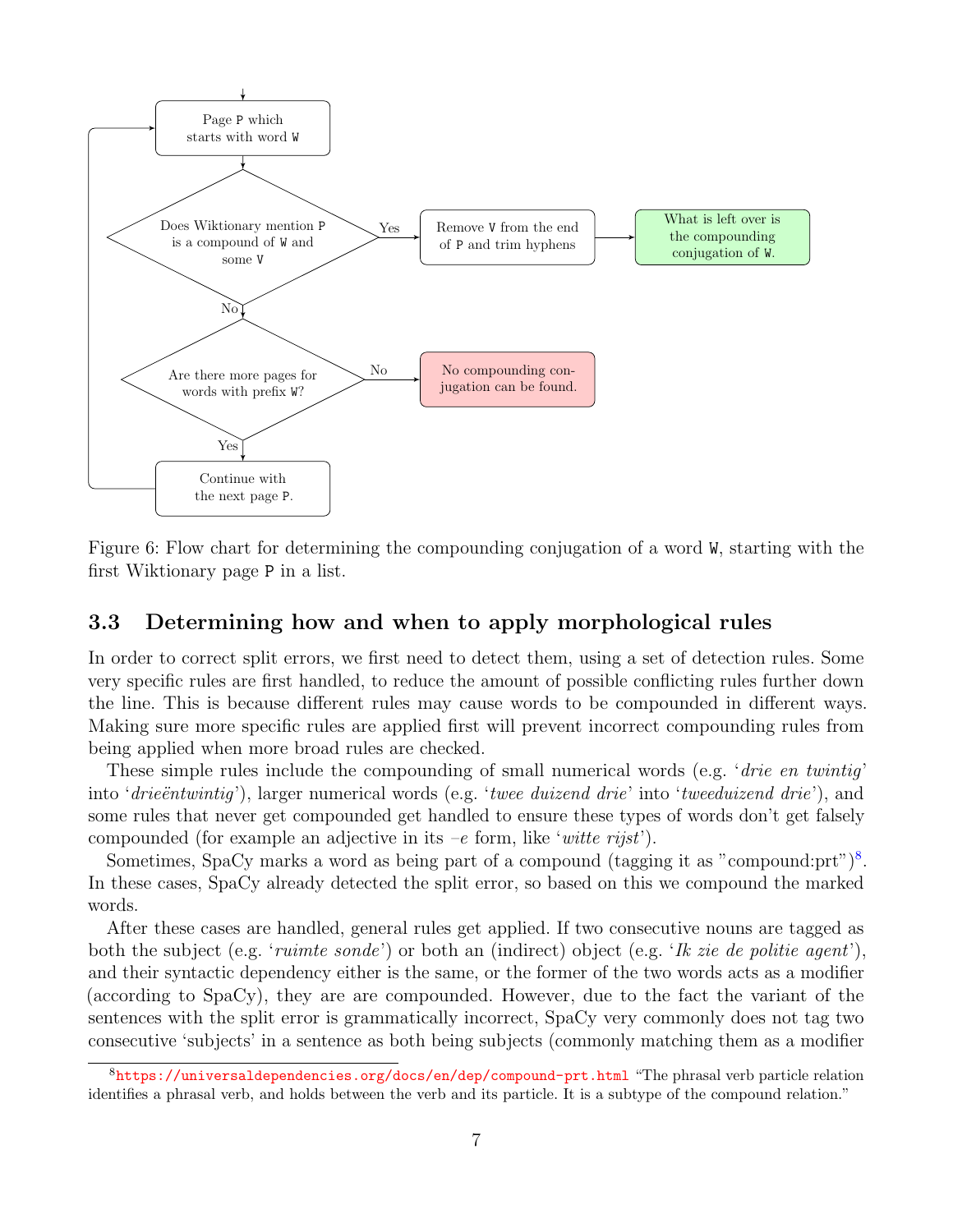

<span id="page-9-1"></span>Figure 6: Flow chart for determining the compounding conjugation of a word W, starting with the first Wiktionary page P in a list.

## <span id="page-9-0"></span>3.3 Determining how and when to apply morphological rules

In order to correct split errors, we first need to detect them, using a set of detection rules. Some very specific rules are first handled, to reduce the amount of possible conflicting rules further down the line. This is because different rules may cause words to be compounded in different ways. Making sure more specific rules are applied first will prevent incorrect compounding rules from being applied when more broad rules are checked.

These simple rules include the compounding of small numerical words (e.g. 'drie en twintig' into 'drieëntwintig'), larger numerical words (e.g. 'twee duizend drie' into 'tweeduizend drie'), and some rules that never get compounded get handled to ensure these types of words don't get falsely compounded (for example an adjective in its  $-e$  form, like 'witte rijst').

Sometimes, SpaCy marks a word as being part of a compound (tagging it as "compound:prt")<sup>[8](#page-9-2)</sup>. In these cases, SpaCy already detected the split error, so based on this we compound the marked words.

After these cases are handled, general rules get applied. If two consecutive nouns are tagged as both the subject (e.g. '*ruimte sonde*') or both an (indirect) object (e.g. '*Ik zie de politie agent*'), and their syntactic dependency either is the same, or the former of the two words acts as a modifier (according to SpaCy), they are are compounded. However, due to the fact the variant of the sentences with the split error is grammatically incorrect, SpaCy very commonly does not tag two consecutive 'subjects' in a sentence as both being subjects (commonly matching them as a modifier

<span id="page-9-2"></span> ${}^{8}$ <https://universaldependencies.org/docs/en/dep/compound-prt.html> "The phrasal verb particle relation identifies a phrasal verb, and holds between the verb and its particle. It is a subtype of the compound relation."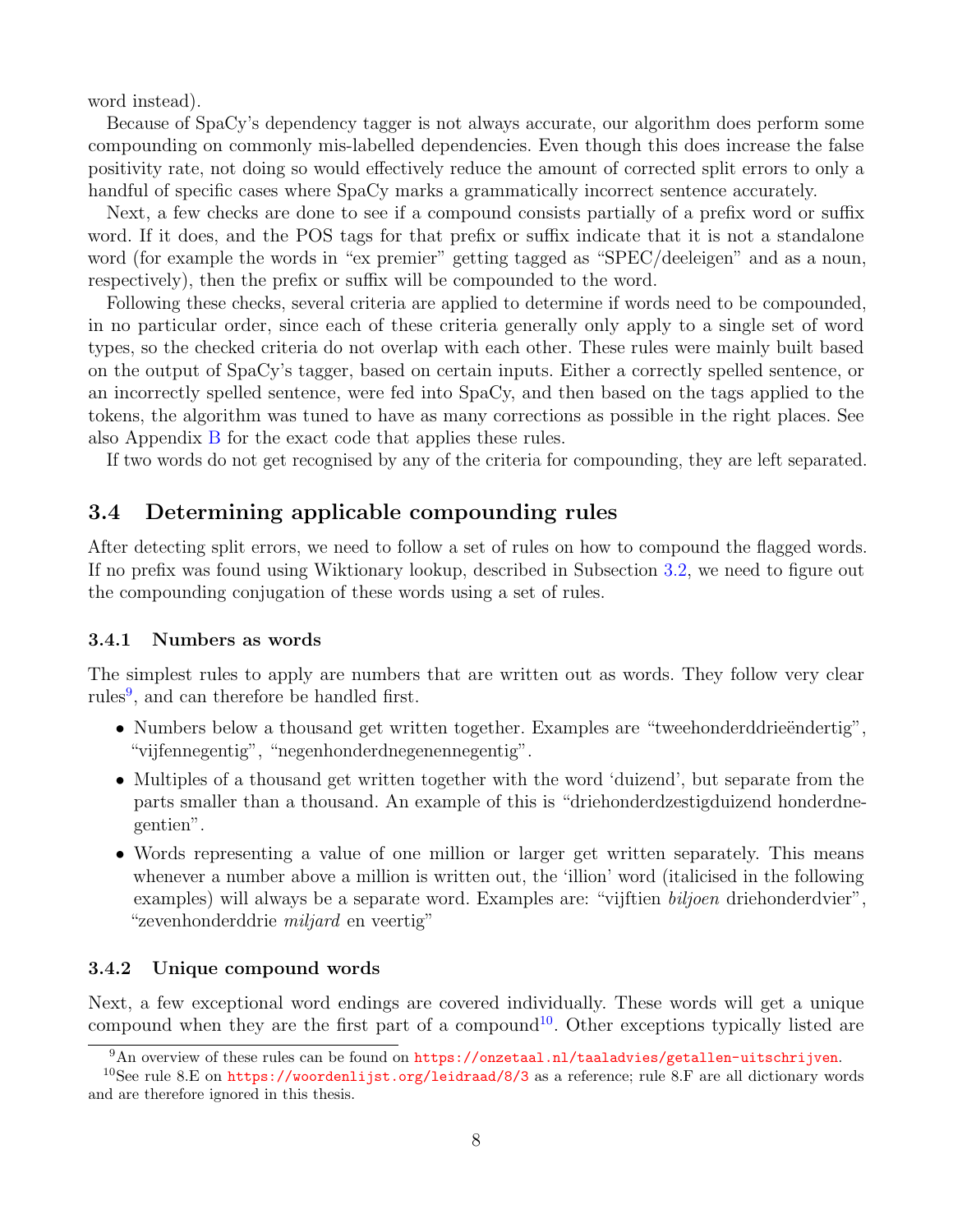word instead).

Because of SpaCy's dependency tagger is not always accurate, our algorithm does perform some compounding on commonly mis-labelled dependencies. Even though this does increase the false positivity rate, not doing so would effectively reduce the amount of corrected split errors to only a handful of specific cases where SpaCy marks a grammatically incorrect sentence accurately.

Next, a few checks are done to see if a compound consists partially of a prefix word or suffix word. If it does, and the POS tags for that prefix or suffix indicate that it is not a standalone word (for example the words in "ex premier" getting tagged as "SPEC/deeleigen" and as a noun, respectively), then the prefix or suffix will be compounded to the word.

Following these checks, several criteria are applied to determine if words need to be compounded, in no particular order, since each of these criteria generally only apply to a single set of word types, so the checked criteria do not overlap with each other. These rules were mainly built based on the output of SpaCy's tagger, based on certain inputs. Either a correctly spelled sentence, or an incorrectly spelled sentence, were fed into SpaCy, and then based on the tags applied to the tokens, the algorithm was tuned to have as many corrections as possible in the right places. See also Appendix [B](#page-19-1) for the exact code that applies these rules.

If two words do not get recognised by any of the criteria for compounding, they are left separated.

## <span id="page-10-0"></span>3.4 Determining applicable compounding rules

After detecting split errors, we need to follow a set of rules on how to compound the flagged words. If no prefix was found using Wiktionary lookup, described in Subsection [3.2,](#page-7-0) we need to figure out the compounding conjugation of these words using a set of rules.

#### <span id="page-10-1"></span>3.4.1 Numbers as words

The simplest rules to apply are numbers that are written out as words. They follow very clear rules<sup>[9](#page-10-3)</sup>, and can therefore be handled first.

- Numbers below a thousand get written together. Examples are "tweehonderddrieëndertig", "vijfennegentig", "negenhonderdnegenennegentig".
- Multiples of a thousand get written together with the word 'duizend', but separate from the parts smaller than a thousand. An example of this is "driehonderdzestigduizend honderdnegentien".
- Words representing a value of one million or larger get written separately. This means whenever a number above a million is written out, the 'illion' word (italicised in the following examples) will always be a separate word. Examples are: "vijftien biljoen driehonderdvier", "zevenhonderddrie miljard en veertig"

#### <span id="page-10-2"></span>3.4.2 Unique compound words

Next, a few exceptional word endings are covered individually. These words will get a unique compound when they are the first part of a compound<sup>[10](#page-10-4)</sup>. Other exceptions typically listed are

<span id="page-10-4"></span><span id="page-10-3"></span><sup>&</sup>lt;sup>9</sup>An overview of these rules can be found on <https://onzetaal.nl/taaladvies/getallen-uitschrijven>.

<sup>&</sup>lt;sup>10</sup>See rule 8.E on <https://woordenlijst.org/leidraad/8/3> as a reference; rule 8.F are all dictionary words and are therefore ignored in this thesis.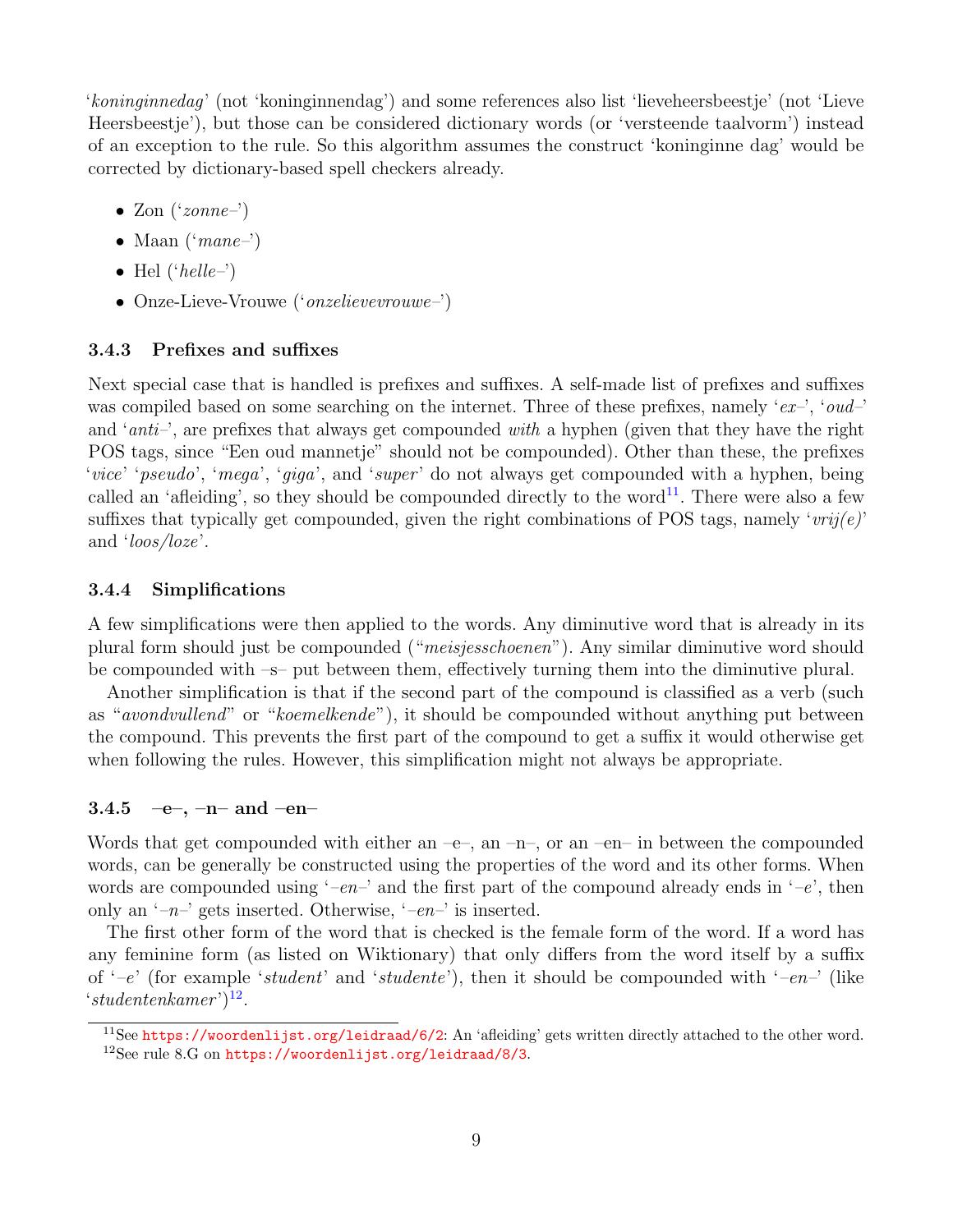'koninginnedag' (not 'koninginnendag') and some references also list 'lieveheersbeestje' (not 'Lieve Heersbeestje'), but those can be considered dictionary words (or 'versteende taalvorm') instead of an exception to the rule. So this algorithm assumes the construct 'koninginne dag' would be corrected by dictionary-based spell checkers already.

- Zon  $('zone-)$
- Maan  $('mane-)$
- Hel  $('hello-)$
- Onze-Lieve-Vrouwe ('*onzelievevrouwe-*')

#### <span id="page-11-0"></span>3.4.3 Prefixes and suffixes

Next special case that is handled is prefixes and suffixes. A self-made list of prefixes and suffixes was compiled based on some searching on the internet. Three of these prefixes, namely ' $ex$ <sup>-'</sup>, 'oud-' and '*anti*-', are prefixes that always get compounded *with* a hyphen (given that they have the right POS tags, since "Een oud mannetje" should not be compounded). Other than these, the prefixes 'vice' 'pseudo', 'mega', 'giga', and 'super' do not always get compounded with a hyphen, being called an 'affeiding', so they should be compounded directly to the word<sup>[11](#page-11-3)</sup>. There were also a few suffixes that typically get compounded, given the right combinations of POS tags, namely ' $vrij(e)$ ' and 'loos/loze'.

#### <span id="page-11-1"></span>3.4.4 Simplifications

A few simplifications were then applied to the words. Any diminutive word that is already in its plural form should just be compounded ("meisjesschoenen"). Any similar diminutive word should be compounded with –s– put between them, effectively turning them into the diminutive plural.

Another simplification is that if the second part of the compound is classified as a verb (such as "avondvullend" or "koemelkende"), it should be compounded without anything put between the compound. This prevents the first part of the compound to get a suffix it would otherwise get when following the rules. However, this simplification might not always be appropriate.

#### <span id="page-11-2"></span>3.4.5 –  $-e-$ ,  $-n-$  and  $-en-$

Words that get compounded with either an  $-e$ , an  $-n$ , or an  $-en-$  in between the compounded words, can be generally be constructed using the properties of the word and its other forms. When words are compounded using '–en–' and the first part of the compound already ends in '–e', then only an  $(-n)^{-1}$  gets inserted. Otherwise,  $(-en)^{-1}$  is inserted.

The first other form of the word that is checked is the female form of the word. If a word has any feminine form (as listed on Wiktionary) that only differs from the word itself by a suffix of  $\left(-e^{\prime}\right)$  (for example 'student' and 'studente'), then it should be compounded with  $\left(-en^{-1}\right)$  (like  $'s tudenten kamer'$ <sup>[12](#page-11-4)</sup>.

<span id="page-11-4"></span><span id="page-11-3"></span><sup>11</sup>See <https://woordenlijst.org/leidraad/6/2>: An 'afleiding' gets written directly attached to the other word. <sup>12</sup>See rule 8.G on <https://woordenlijst.org/leidraad/8/3>.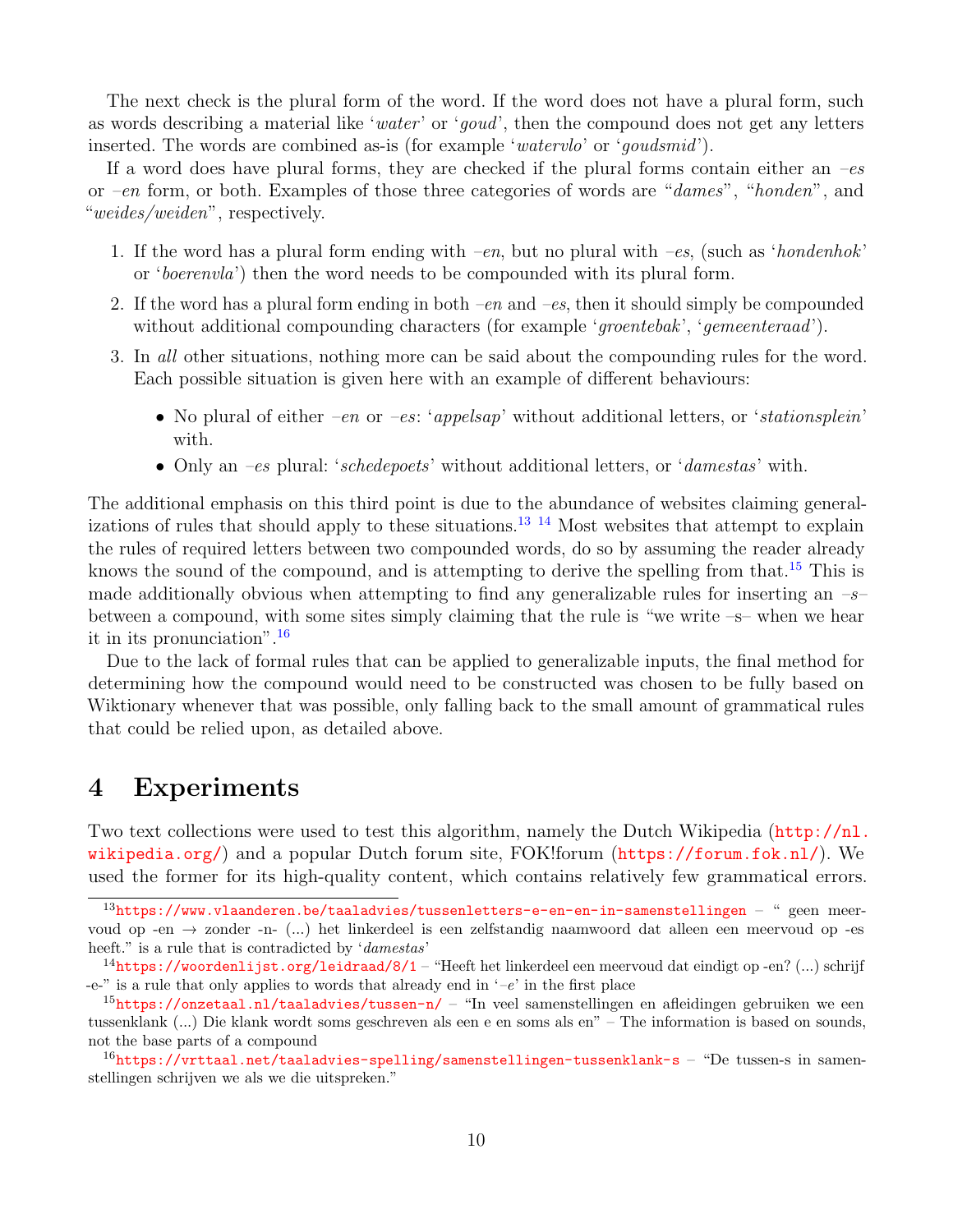The next check is the plural form of the word. If the word does not have a plural form, such as words describing a material like 'water' or 'goud', then the compound does not get any letters inserted. The words are combined as-is (for example 'watervlo' or 'goudsmid').

If a word does have plural forms, they are checked if the plural forms contain either an  $-es$ or –en form, or both. Examples of those three categories of words are "dames", "honden", and "weides/weiden", respectively.

- 1. If the word has a plural form ending with  $-en$ , but no plural with  $-es$ , (such as 'hondenhok' or 'boerenvla') then the word needs to be compounded with its plural form.
- 2. If the word has a plural form ending in both  $-en$  and  $-es$ , then it should simply be compounded without additional compounding characters (for example 'groentebak', 'gemeenteraad').
- 3. In all other situations, nothing more can be said about the compounding rules for the word. Each possible situation is given here with an example of different behaviours:
	- No plural of either  $-en$  or  $-es: 'appel sap'$  without additional letters, or *'stationsplein'* with.
	- Only an *-es* plural: '*schedepoets'* without additional letters, or '*damestas'* with.

The additional emphasis on this third point is due to the abundance of websites claiming general-izations of rules that should apply to these situations.<sup>[13](#page-12-1) [14](#page-12-2)</sup> Most websites that attempt to explain the rules of required letters between two compounded words, do so by assuming the reader already knows the sound of the compound, and is attempting to derive the spelling from that.<sup>[15](#page-12-3)</sup> This is made additionally obvious when attempting to find any generalizable rules for inserting an  $-s$ between a compound, with some sites simply claiming that the rule is "we write  $-s$ – when we hear it in its pronunciation".[16](#page-12-4)

Due to the lack of formal rules that can be applied to generalizable inputs, the final method for determining how the compound would need to be constructed was chosen to be fully based on Wiktionary whenever that was possible, only falling back to the small amount of grammatical rules that could be relied upon, as detailed above.

## <span id="page-12-0"></span>4 Experiments

Two text collections were used to test this algorithm, namely the Dutch Wikipedia  $(\text{http://nl.}$  $(\text{http://nl.}$  $(\text{http://nl.}$ [wikipedia.org/](http://nl.wikipedia.org/)) and a popular Dutch forum site, FOK!forum (<https://forum.fok.nl/>). We used the former for its high-quality content, which contains relatively few grammatical errors.

<span id="page-12-1"></span> $13$ <https://www.vlaanderen.be/taaladvies/tussenletters-e-en-en-in-samenstellingen> – " geen meervoud op -en → zonder -n- (...) het linkerdeel is een zelfstandig naamwoord dat alleen een meervoud op -es heeft." is a rule that is contradicted by 'damestas'

<span id="page-12-2"></span> $14$ <https://woordenlijst.org/leidraad/8/1> – "Heeft het linkerdeel een meervoud dat eindigt op -en? (...) schrijf -e-" is a rule that only applies to words that already end in  $-e$ " in the first place

<span id="page-12-3"></span> $15$ <https://onzetaal.nl/taaladvies/tussen-n/> – "In veel samenstellingen en afleidingen gebruiken we een tussenklank (...) Die klank wordt soms geschreven als een e en soms als en" – The information is based on sounds, not the base parts of a compound

<span id="page-12-4"></span> $16$ <https://vrttaal.net/taaladvies-spelling/samenstellingen-tussenklank-s> – "De tussen-s in samenstellingen schrijven we als we die uitspreken."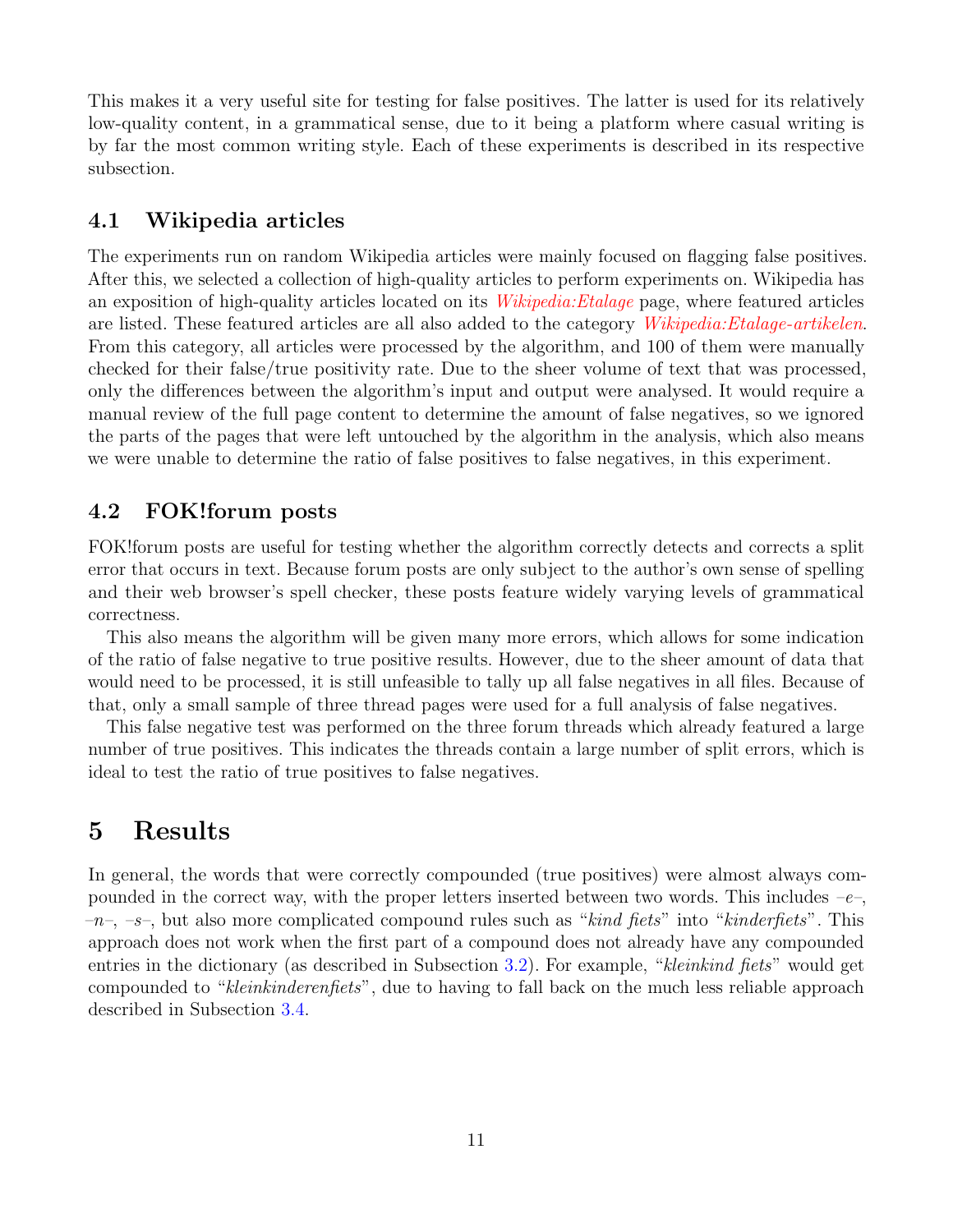This makes it a very useful site for testing for false positives. The latter is used for its relatively low-quality content, in a grammatical sense, due to it being a platform where casual writing is by far the most common writing style. Each of these experiments is described in its respective subsection.

## <span id="page-13-0"></span>4.1 Wikipedia articles

The experiments run on random Wikipedia articles were mainly focused on flagging false positives. After this, we selected a collection of high-quality articles to perform experiments on. Wikipedia has an exposition of high-quality articles located on its *Wikipedia: Etalage* page, where featured articles are listed. These featured articles are all also added to the category [Wikipedia:Etalage-artikelen](https://nl.wikipedia.org/wiki/Categorie:Wikipedia:Etalage-artikelen). From this category, all articles were processed by the algorithm, and 100 of them were manually checked for their false/true positivity rate. Due to the sheer volume of text that was processed, only the differences between the algorithm's input and output were analysed. It would require a manual review of the full page content to determine the amount of false negatives, so we ignored the parts of the pages that were left untouched by the algorithm in the analysis, which also means we were unable to determine the ratio of false positives to false negatives, in this experiment.

## <span id="page-13-1"></span>4.2 FOK!forum posts

FOK! forum posts are useful for testing whether the algorithm correctly detects and corrects a split error that occurs in text. Because forum posts are only subject to the author's own sense of spelling and their web browser's spell checker, these posts feature widely varying levels of grammatical correctness.

This also means the algorithm will be given many more errors, which allows for some indication of the ratio of false negative to true positive results. However, due to the sheer amount of data that would need to be processed, it is still unfeasible to tally up all false negatives in all files. Because of that, only a small sample of three thread pages were used for a full analysis of false negatives.

This false negative test was performed on the three forum threads which already featured a large number of true positives. This indicates the threads contain a large number of split errors, which is ideal to test the ratio of true positives to false negatives.

## <span id="page-13-2"></span>5 Results

In general, the words that were correctly compounded (true positives) were almost always compounded in the correct way, with the proper letters inserted between two words. This includes  $-e$ ,  $-n$ ,  $-s$ , but also more complicated compound rules such as "kind fiets" into "kinderfiets". This approach does not work when the first part of a compound does not already have any compounded entries in the dictionary (as described in Subsection [3.2\)](#page-7-0). For example, "kleinkind fiets" would get compounded to "kleinkinderenfiets", due to having to fall back on the much less reliable approach described in Subsection [3.4.](#page-10-0)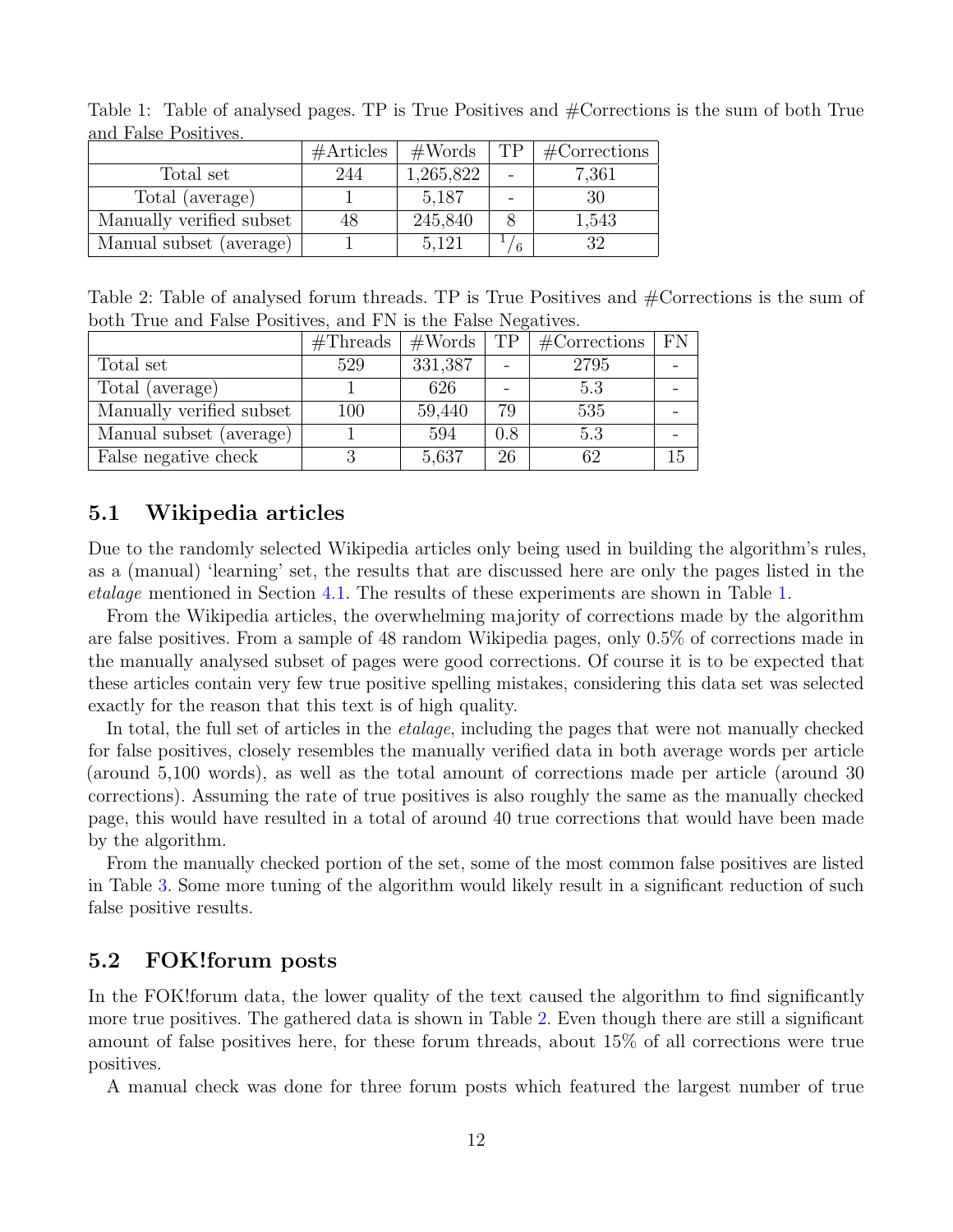|                          | #Articles | $\#\text{Words}$ | TP. | #Corrections |
|--------------------------|-----------|------------------|-----|--------------|
| Total set                | 244       | 1,265,822        |     | 7,361        |
| Total (average)          |           | 5,187            |     | 30           |
| Manually verified subset | 48        | 245,840          |     | 1,543        |
| Manual subset (average)  |           | 5,121            |     | 32           |

<span id="page-14-2"></span>Table 1: Table of analysed pages. TP is True Positives and #Corrections is the sum of both True and False Positives.

<span id="page-14-3"></span>Table 2: Table of analysed forum threads. TP is True Positives and #Corrections is the sum of both True and False Positives, and FN is the False Negatives.

|                          | #Threads | $\#\text{Words}$ | TP  | $\#$ Corrections | FN |
|--------------------------|----------|------------------|-----|------------------|----|
| Total set                | 529      | 331,387          |     | 2795             |    |
| Total (average)          |          | 626              |     | 5.3              |    |
| Manually verified subset | 100      | 59,440           | 79  | 535              |    |
| Manual subset (average)  |          | 594              | 0.8 | 5.3              |    |
| False negative check     | 3        | 5,637            | 26  | 62               | 15 |

## <span id="page-14-0"></span>5.1 Wikipedia articles

Due to the randomly selected Wikipedia articles only being used in building the algorithm's rules, as a (manual) 'learning' set, the results that are discussed here are only the pages listed in the etalage mentioned in Section [4.1.](#page-13-0) The results of these experiments are shown in Table [1.](#page-14-2)

From the Wikipedia articles, the overwhelming majority of corrections made by the algorithm are false positives. From a sample of 48 random Wikipedia pages, only 0.5% of corrections made in the manually analysed subset of pages were good corrections. Of course it is to be expected that these articles contain very few true positive spelling mistakes, considering this data set was selected exactly for the reason that this text is of high quality.

In total, the full set of articles in the *etalage*, including the pages that were not manually checked for false positives, closely resembles the manually verified data in both average words per article (around 5,100 words), as well as the total amount of corrections made per article (around 30 corrections). Assuming the rate of true positives is also roughly the same as the manually checked page, this would have resulted in a total of around 40 true corrections that would have been made by the algorithm.

From the manually checked portion of the set, some of the most common false positives are listed in Table [3.](#page-16-2) Some more tuning of the algorithm would likely result in a significant reduction of such false positive results.

## <span id="page-14-1"></span>5.2 FOK!forum posts

In the FOK!forum data, the lower quality of the text caused the algorithm to find significantly more true positives. The gathered data is shown in Table [2.](#page-14-3) Even though there are still a significant amount of false positives here, for these forum threads, about 15% of all corrections were true positives.

A manual check was done for three forum posts which featured the largest number of true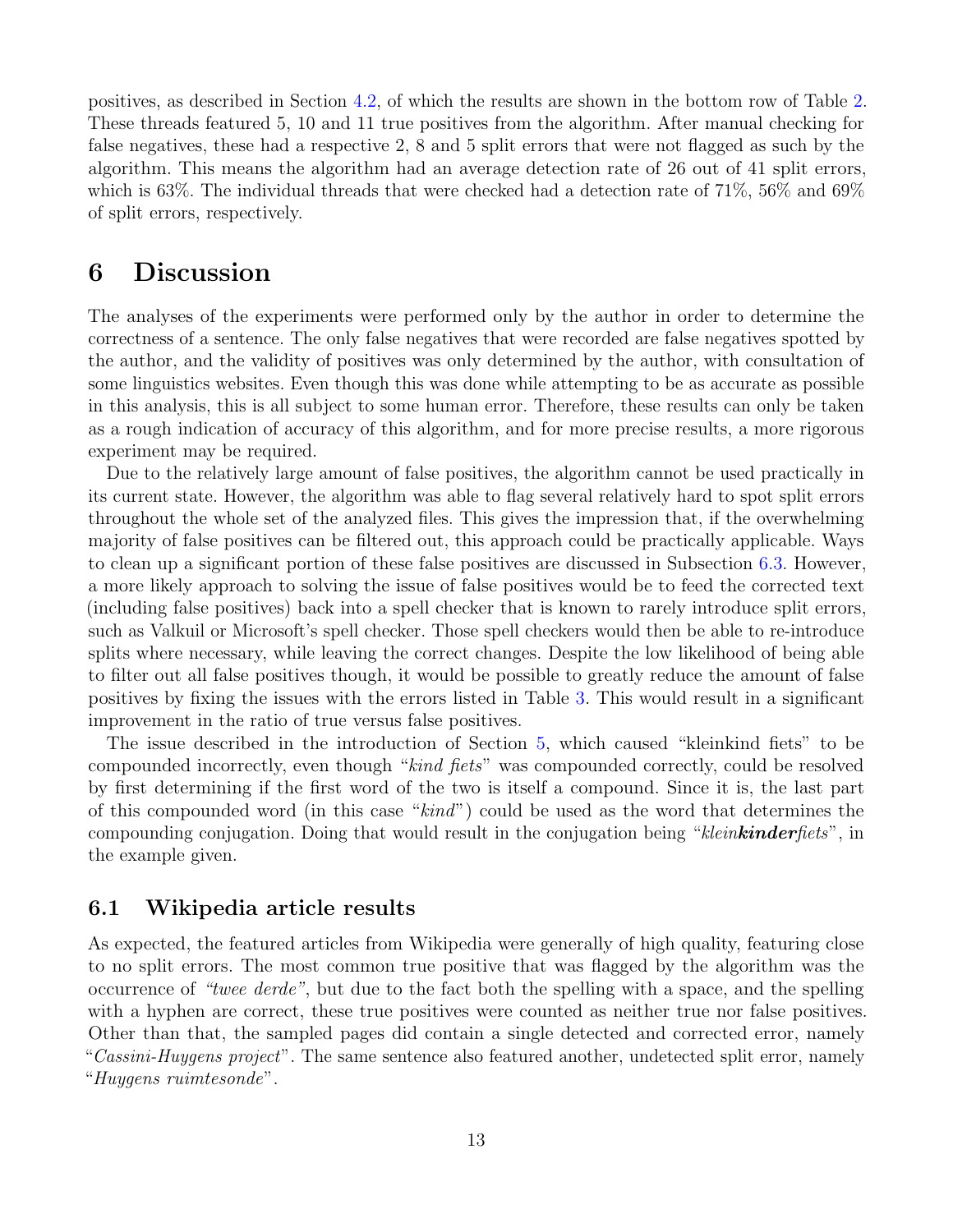positives, as described in Section [4.2,](#page-13-1) of which the results are shown in the bottom row of Table [2.](#page-14-3) These threads featured 5, 10 and 11 true positives from the algorithm. After manual checking for false negatives, these had a respective 2, 8 and 5 split errors that were not flagged as such by the algorithm. This means the algorithm had an average detection rate of 26 out of 41 split errors, which is 63%. The individual threads that were checked had a detection rate of 71%, 56% and 69% of split errors, respectively.

## <span id="page-15-0"></span>6 Discussion

The analyses of the experiments were performed only by the author in order to determine the correctness of a sentence. The only false negatives that were recorded are false negatives spotted by the author, and the validity of positives was only determined by the author, with consultation of some linguistics websites. Even though this was done while attempting to be as accurate as possible in this analysis, this is all subject to some human error. Therefore, these results can only be taken as a rough indication of accuracy of this algorithm, and for more precise results, a more rigorous experiment may be required.

Due to the relatively large amount of false positives, the algorithm cannot be used practically in its current state. However, the algorithm was able to flag several relatively hard to spot split errors throughout the whole set of the analyzed files. This gives the impression that, if the overwhelming majority of false positives can be filtered out, this approach could be practically applicable. Ways to clean up a significant portion of these false positives are discussed in Subsection [6.3.](#page-16-1) However, a more likely approach to solving the issue of false positives would be to feed the corrected text (including false positives) back into a spell checker that is known to rarely introduce split errors, such as Valkuil or Microsoft's spell checker. Those spell checkers would then be able to re-introduce splits where necessary, while leaving the correct changes. Despite the low likelihood of being able to filter out all false positives though, it would be possible to greatly reduce the amount of false positives by fixing the issues with the errors listed in Table [3.](#page-16-2) This would result in a significant improvement in the ratio of true versus false positives.

The issue described in the introduction of Section [5,](#page-13-2) which caused "kleinkind fiets" to be compounded incorrectly, even though "kind fiets" was compounded correctly, could be resolved by first determining if the first word of the two is itself a compound. Since it is, the last part of this compounded word (in this case "kind") could be used as the word that determines the compounding conjugation. Doing that would result in the conjugation being "kleinkinderfiets", in the example given.

## <span id="page-15-1"></span>6.1 Wikipedia article results

As expected, the featured articles from Wikipedia were generally of high quality, featuring close to no split errors. The most common true positive that was flagged by the algorithm was the occurrence of "twee derde", but due to the fact both the spelling with a space, and the spelling with a hyphen are correct, these true positives were counted as neither true nor false positives. Other than that, the sampled pages did contain a single detected and corrected error, namely "Cassini-Huygens project". The same sentence also featured another, undetected split error, namely "Huygens ruimtesonde".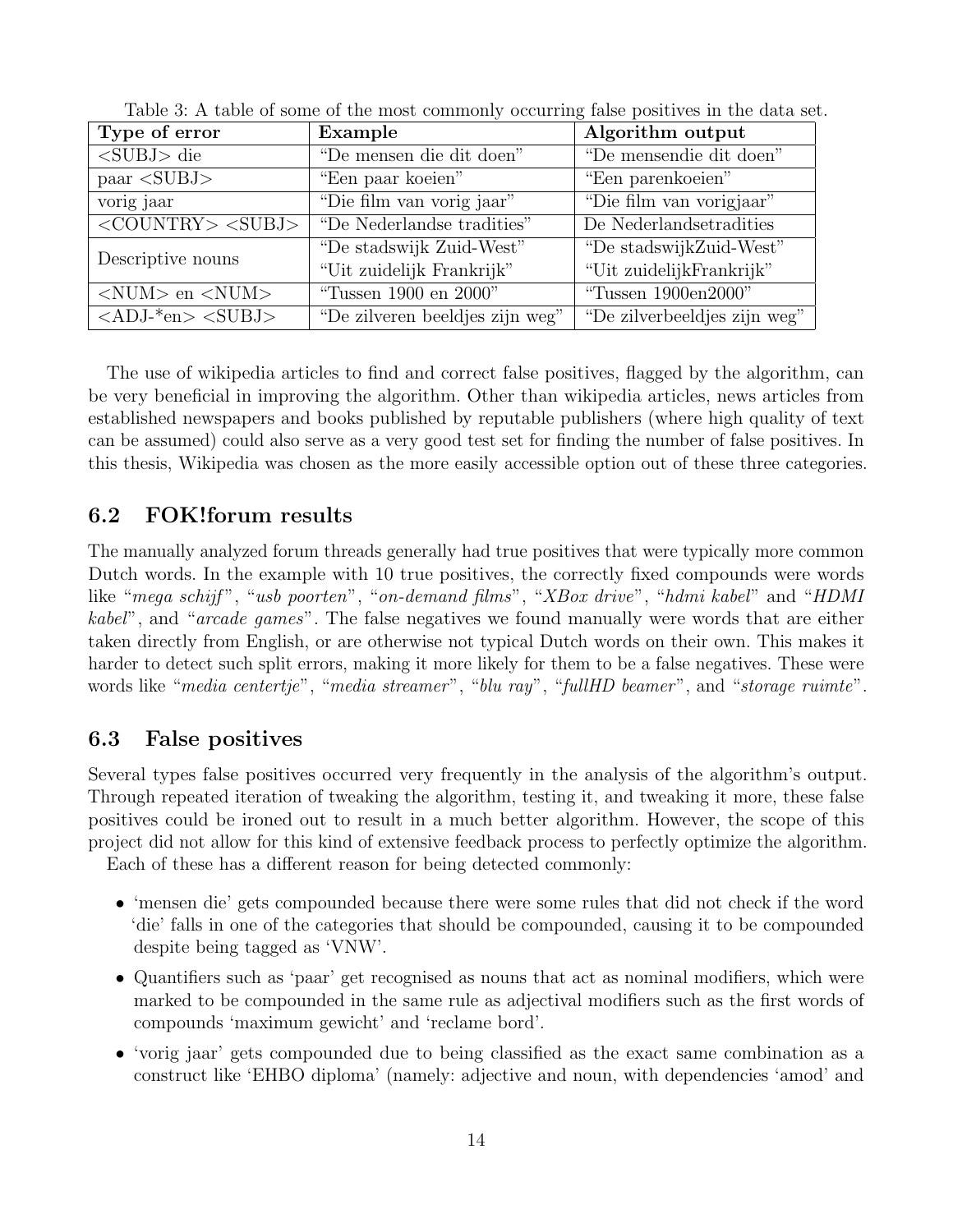| Type of error                                                  | Example                         | Algorithm output             |  |
|----------------------------------------------------------------|---------------------------------|------------------------------|--|
| $<$ SUBJ $>$ die                                               | "De mensen die dit doen"        | "De mensendie dit doen"      |  |
| $\text{paar} < \text{SUBJ}$                                    | "Een paar koeien"               | "Een parenkoeien"            |  |
| vorig jaar                                                     | "Die film van vorig jaar"       | "Die film van vorigjaar"     |  |
| $\langle \textrm{COUNTRY}\rangle \langle \textrm{SUBJ}\rangle$ | "De Nederlandse tradities"      | De Nederlandsetradities      |  |
| Descriptive nouns                                              | "De stadswijk Zuid-West"        | "De stadswijkZuid-West"      |  |
|                                                                | "Uit zuidelijk Frankrijk"       | "Uit zuidelijkFrankrijk"     |  |
| $\langle$ NUM $>$ en $\langle$ NUM $>$                         | "Tussen 1900 en 2000"           | "Tussen 1900en2000"          |  |
| $\langle ADJ$ -*en $>$ $\langle SUBJ>$                         | "De zilveren beeldjes zijn weg" | "De zilverbeeldjes zijn weg" |  |

<span id="page-16-2"></span>Table 3: A table of some of the most commonly occurring false positives in the data set.

The use of wikipedia articles to find and correct false positives, flagged by the algorithm, can be very beneficial in improving the algorithm. Other than wikipedia articles, news articles from established newspapers and books published by reputable publishers (where high quality of text can be assumed) could also serve as a very good test set for finding the number of false positives. In this thesis, Wikipedia was chosen as the more easily accessible option out of these three categories.

## <span id="page-16-0"></span>6.2 FOK!forum results

The manually analyzed forum threads generally had true positives that were typically more common Dutch words. In the example with 10 true positives, the correctly fixed compounds were words like "mega schijf", "usb poorten", "on-demand films", "XBox drive", "hdmi kabel" and "HDMI kabel", and "arcade games". The false negatives we found manually were words that are either taken directly from English, or are otherwise not typical Dutch words on their own. This makes it harder to detect such split errors, making it more likely for them to be a false negatives. These were words like "media centertje", "media streamer", "blu ray", "fullHD beamer", and "storage ruimte".

## <span id="page-16-1"></span>6.3 False positives

Several types false positives occurred very frequently in the analysis of the algorithm's output. Through repeated iteration of tweaking the algorithm, testing it, and tweaking it more, these false positives could be ironed out to result in a much better algorithm. However, the scope of this project did not allow for this kind of extensive feedback process to perfectly optimize the algorithm.

Each of these has a different reason for being detected commonly:

- 'mensen die' gets compounded because there were some rules that did not check if the word 'die' falls in one of the categories that should be compounded, causing it to be compounded despite being tagged as 'VNW'.
- Quantifiers such as 'paar' get recognised as nouns that act as nominal modifiers, which were marked to be compounded in the same rule as adjectival modifiers such as the first words of compounds 'maximum gewicht' and 'reclame bord'.
- 'vorig jaar' gets compounded due to being classified as the exact same combination as a construct like 'EHBO diploma' (namely: adjective and noun, with dependencies 'amod' and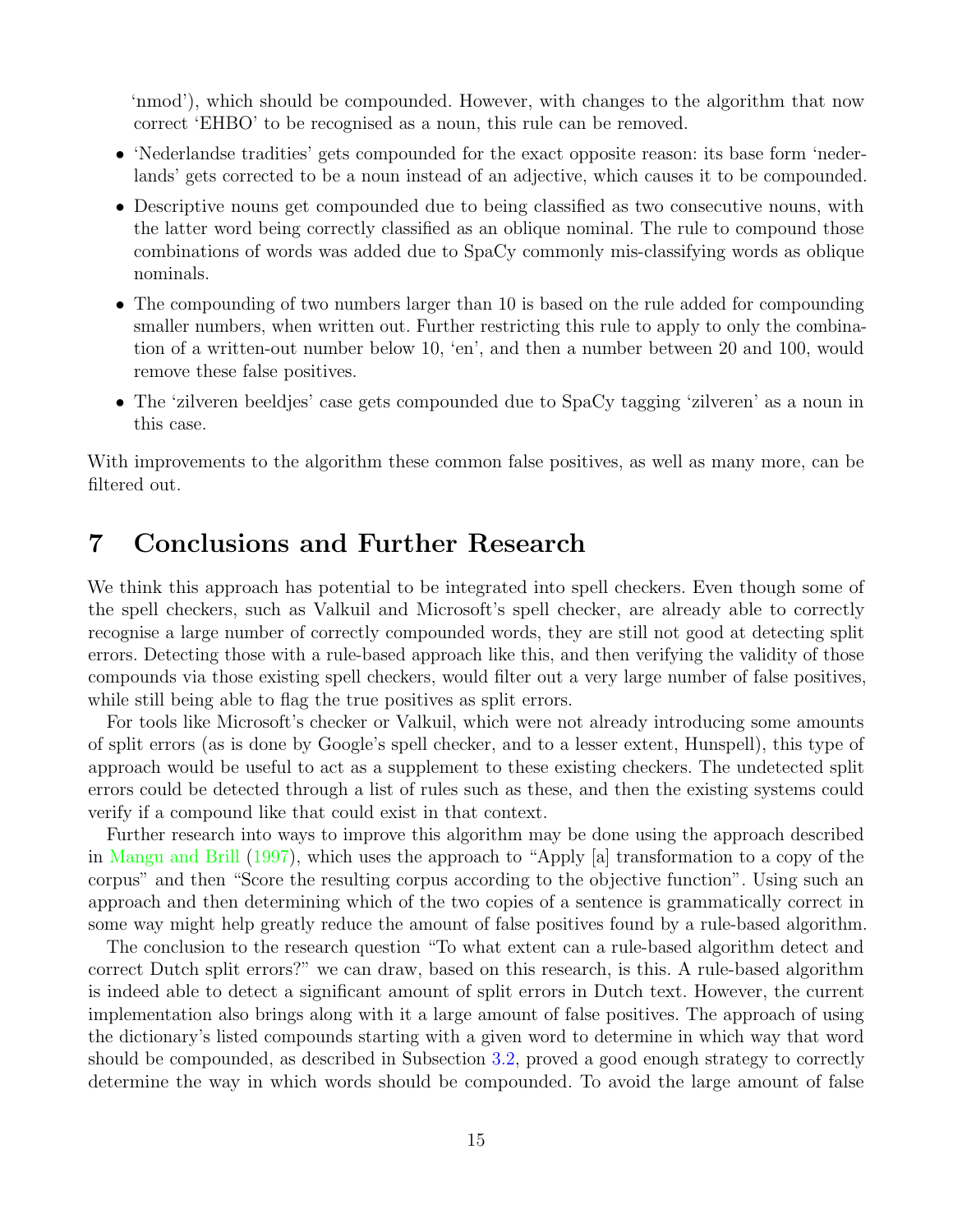'nmod'), which should be compounded. However, with changes to the algorithm that now correct 'EHBO' to be recognised as a noun, this rule can be removed.

- 'Nederlandse tradities' gets compounded for the exact opposite reason: its base form 'nederlands' gets corrected to be a noun instead of an adjective, which causes it to be compounded.
- Descriptive nouns get compounded due to being classified as two consecutive nouns, with the latter word being correctly classified as an oblique nominal. The rule to compound those combinations of words was added due to SpaCy commonly mis-classifying words as oblique nominals.
- The compounding of two numbers larger than 10 is based on the rule added for compounding smaller numbers, when written out. Further restricting this rule to apply to only the combination of a written-out number below 10, 'en', and then a number between 20 and 100, would remove these false positives.
- The 'zilveren beeldjes' case gets compounded due to SpaCy tagging 'zilveren' as a noun in this case.

With improvements to the algorithm these common false positives, as well as many more, can be filtered out.

## <span id="page-17-0"></span>7 Conclusions and Further Research

We think this approach has potential to be integrated into spell checkers. Even though some of the spell checkers, such as Valkuil and Microsoft's spell checker, are already able to correctly recognise a large number of correctly compounded words, they are still not good at detecting split errors. Detecting those with a rule-based approach like this, and then verifying the validity of those compounds via those existing spell checkers, would filter out a very large number of false positives, while still being able to flag the true positives as split errors.

For tools like Microsoft's checker or Valkuil, which were not already introducing some amounts of split errors (as is done by Google's spell checker, and to a lesser extent, Hunspell), this type of approach would be useful to act as a supplement to these existing checkers. The undetected split errors could be detected through a list of rules such as these, and then the existing systems could verify if a compound like that could exist in that context.

Further research into ways to improve this algorithm may be done using the approach described in [Mangu and Brill](#page-18-5) [\(1997\)](#page-18-5), which uses the approach to "Apply [a] transformation to a copy of the corpus" and then "Score the resulting corpus according to the objective function". Using such an approach and then determining which of the two copies of a sentence is grammatically correct in some way might help greatly reduce the amount of false positives found by a rule-based algorithm.

The conclusion to the research question "To what extent can a rule-based algorithm detect and correct Dutch split errors?" we can draw, based on this research, is this. A rule-based algorithm is indeed able to detect a significant amount of split errors in Dutch text. However, the current implementation also brings along with it a large amount of false positives. The approach of using the dictionary's listed compounds starting with a given word to determine in which way that word should be compounded, as described in Subsection [3.2,](#page-7-0) proved a good enough strategy to correctly determine the way in which words should be compounded. To avoid the large amount of false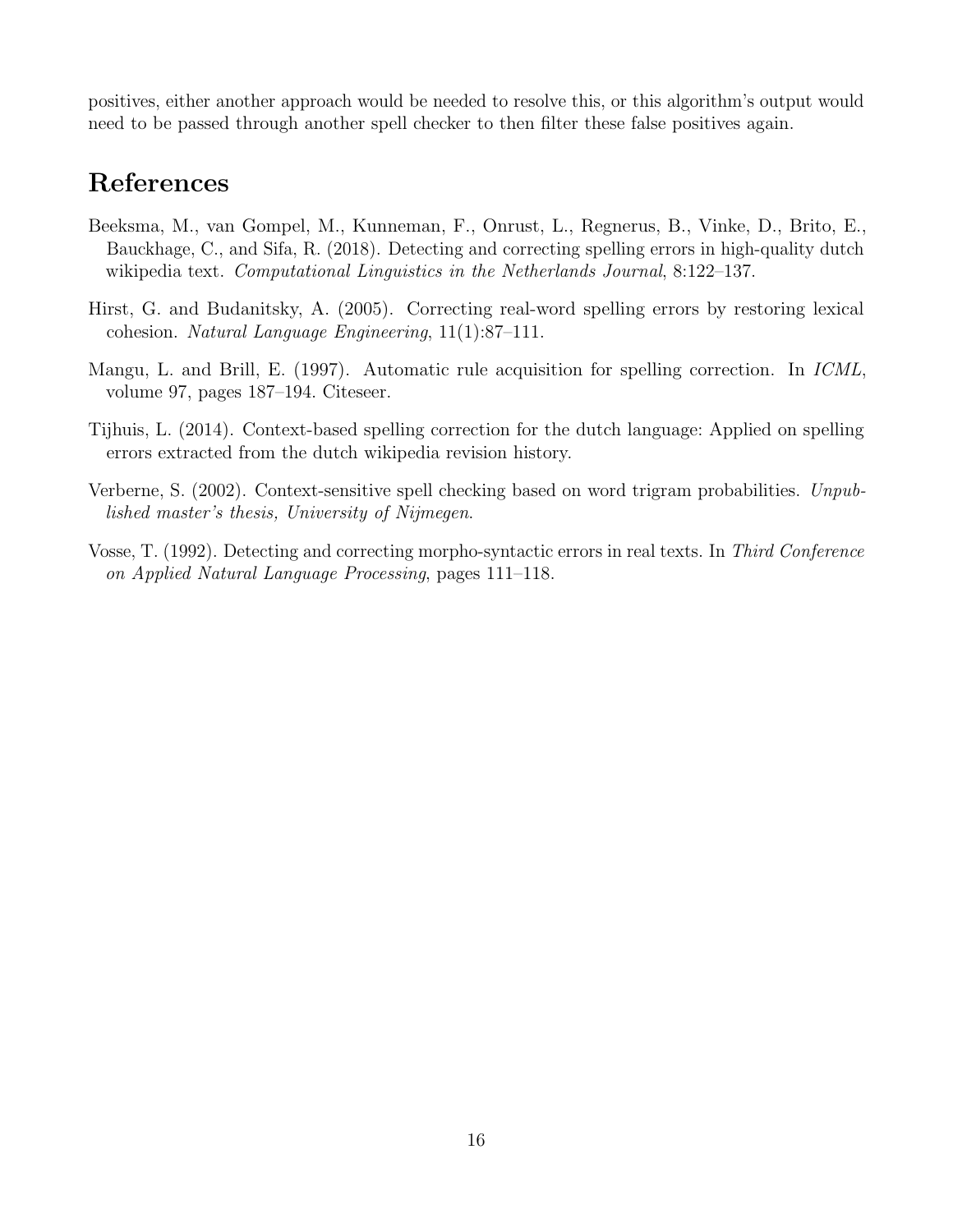positives, either another approach would be needed to resolve this, or this algorithm's output would need to be passed through another spell checker to then filter these false positives again.

# References

- <span id="page-18-0"></span>Beeksma, M., van Gompel, M., Kunneman, F., Onrust, L., Regnerus, B., Vinke, D., Brito, E., Bauckhage, C., and Sifa, R. (2018). Detecting and correcting spelling errors in high-quality dutch wikipedia text. Computational Linguistics in the Netherlands Journal, 8:122–137.
- <span id="page-18-3"></span>Hirst, G. and Budanitsky, A. (2005). Correcting real-word spelling errors by restoring lexical cohesion. Natural Language Engineering, 11(1):87–111.
- <span id="page-18-5"></span>Mangu, L. and Brill, E. (1997). Automatic rule acquisition for spelling correction. In ICML, volume 97, pages 187–194. Citeseer.
- <span id="page-18-2"></span>Tijhuis, L. (2014). Context-based spelling correction for the dutch language: Applied on spelling errors extracted from the dutch wikipedia revision history.
- <span id="page-18-4"></span>Verberne, S. (2002). Context-sensitive spell checking based on word trigram probabilities. Unpublished master's thesis, University of Nijmegen.
- <span id="page-18-1"></span>Vosse, T. (1992). Detecting and correcting morpho-syntactic errors in real texts. In Third Conference on Applied Natural Language Processing, pages 111–118.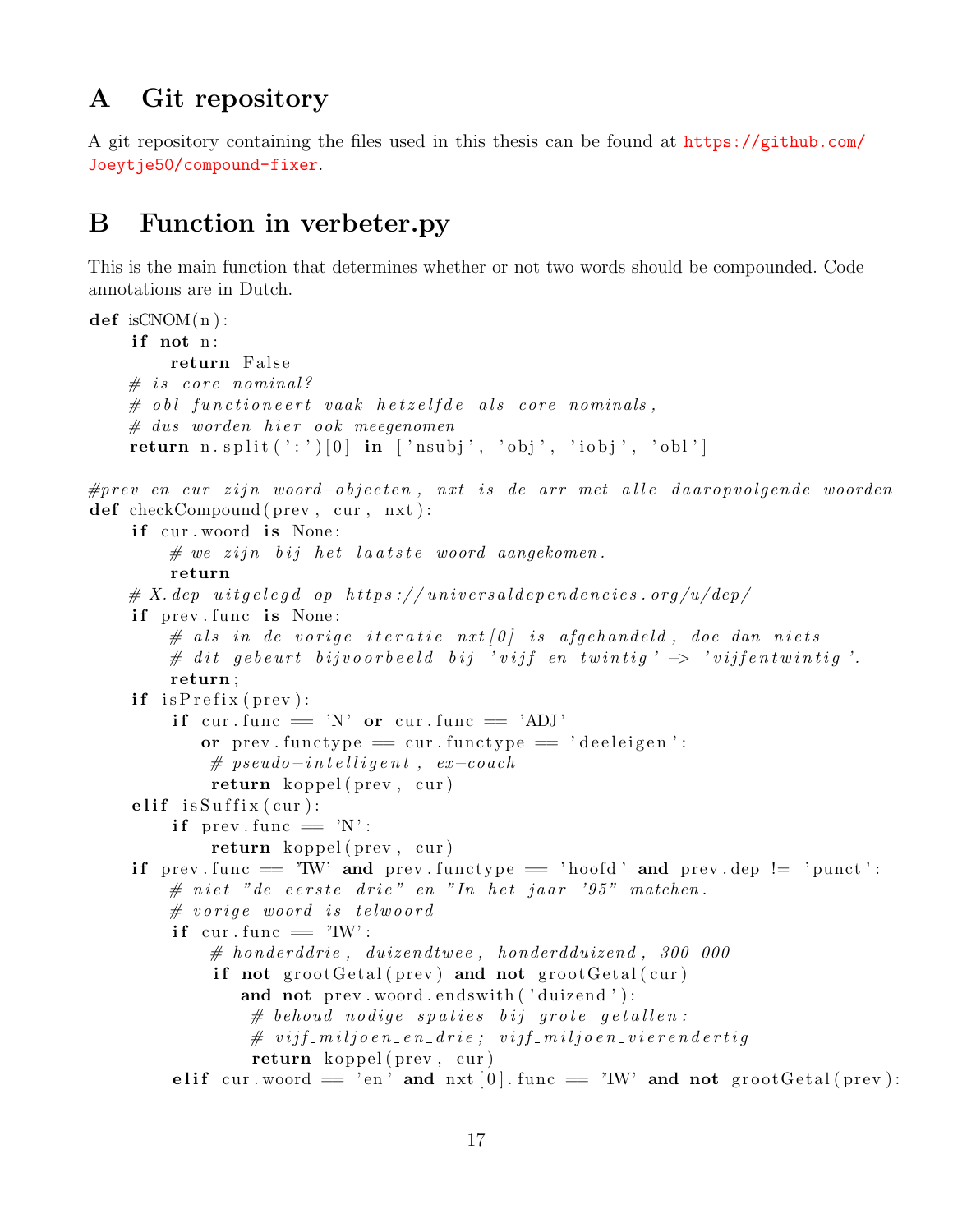# <span id="page-19-0"></span>A Git repository

A git repository containing the files used in this thesis can be found at [https://github.com/](https://github.com/Joeytje50/compound-fixer) [Joeytje50/compound-fixer](https://github.com/Joeytje50/compound-fixer).

# <span id="page-19-1"></span>B Function in verbeter.py

This is the main function that determines whether or not two words should be compounded. Code annotations are in Dutch.

```
def is CNOM(n):
    if not n:
        return False
    # is core nominal?
    # obl functioneert vaak hetzelfde als core nominals,
    # dus worden hier ook meegenomen
    return n. split('') [0] in ['nsubj', 'obj', 'iobj', 'obl']
#prev en cur zijn woord-objecten, nxt is de arr met alle daaropvolgende woorden
def checkCompound ( prev , cur , nxt ) :
    if cur. woord is None:
        # we zijn bij het laatste woord aangekomen.return
    \# X. dep uitgelegd op https://universaldependencies.org/u/dep/
    if prev. func is None:
        \# als in de vorige iteratie nxt [0] is afgehandeld, doe dan niets
        \# dit gebeurt bijvoorbeeld bij 'vijf en twintig' \rightarrow 'vijfentwintig'.
        return ;
    if is Prefix (prev):
        if cur. func = 'N' or cur. func = 'ADJ'
           or prev. functype = cur. functype = 'deeleigen':
            # pseudo-intelligent, ex-coach
            return koppel (prev, cur)
    elif is Suffix (cur):
        if prev. func = 'N':
            return koppel(prev, cur)if prev func = 'TW' and prev functype = 'hoofd' and prev dep != 'punct':
        # niet "de eerste drie" en "In het jaar '95" matchen.
        # vorige woord is telwoord
        if cur . func = TW':
            # honderddrie, duizendtwee, honderdduizend, 300 000
            if not grootGetal(prev) and not grootGetal(cur)and not prev. woord. endswith ('duizend'):
                # behoud nodige spaties bij grote getallen:
                \# vijf_miljoen_en_drie; vijf_miljoen_vierendertig
                return koppel (prev, cur)
        e lif cur woord = 'en ' and nxt [0] func = 'TW' and not groot Getal (prev):
```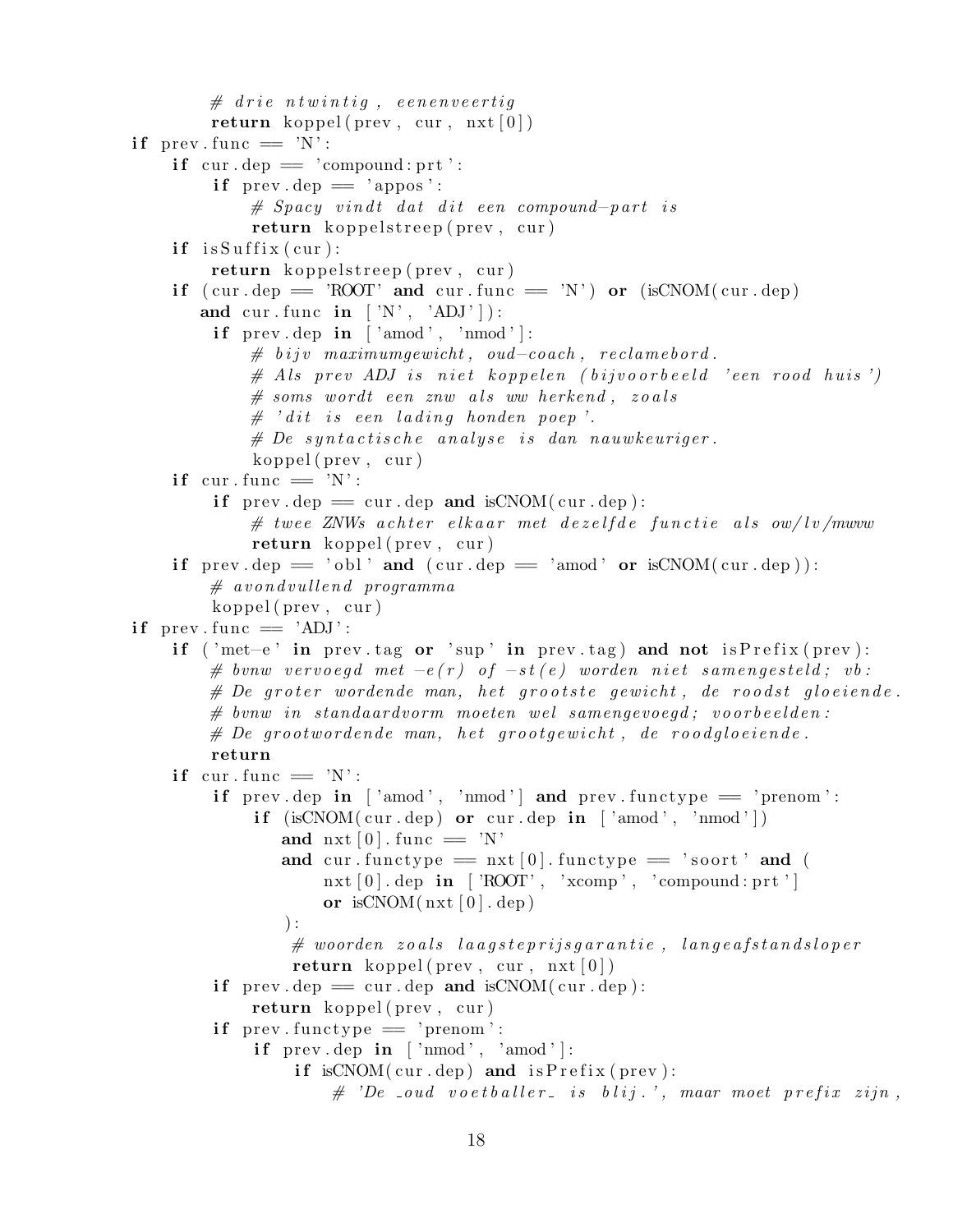```
# drie ntwintig, eenenveertig
        return koppel (prev, cur, nxt [0])if prev. func = 'N':
    if cur \text{ .dep} = 'compound: prt':if prev \text{dep} = 'appos':# Spacy vindt dat dit een compound-part is
             return koppelstreep (prev, cur)
    if is Suffix (cur):
        return koppelstreep (prev, cur)
    if ( cur. dep = 'ROOT' and cur. func = 'N') or (isCNOM( cur. dep)
       and cur. func in [N', 'ADJ']:
        if prev.dep in \lceil 'amod', 'nmod' \rceil:
             # bijv maximumgewicht, oud-coach, reclamebord.
             \# Als prev ADJ is niet koppelen (bijvoorbeeld 'een rood huis')
             # \; soms \; wordt \; een \; zuw \; als \; ww \; herkend , \; zoals\# 'dit is een lading honden poep'.
             # De syntactische analyse is dan nauwkeuriger.
             koppel(prev, cur)if cur. func = 'N':
         if prev. dep = cur. dep and isCNOM( cur. dep):
             # twee ZNWs achter elkaar met dezelfde functie als ow/lv/mwww
             return \; koppel(prev, cur)if prev.dep = 'obl' and (cur.dep = 'amod' or isCNOM(cur.dep)):
        # avondvullend programma
        koppel(prev, cur)if prev. func = 'ADJ':
    if ('met–e' in prev.tag or 'sup' in prev.tag) and not is Prefix (prev):
        # bvnw vervoegd met -e(r) of -st(e) worden niet samengesteld; vb:
        # De groter wordende man, het grootste gewicht, de roodst gloeiende.
        # bvnw in standaardvorm moeten wel samengevoegd: voorbeelden:
        # De grootwordende man, het grootgewicht, de roodgloeiende.
        return
    if cur. func = 'N':
        if prev.dep in \lceil 'amod', 'nmod' \rceil and prev.functype = 'prenom':
             if (i s C NOM(cur. dep) or cur.dep in \lceil 'amod', 'nmod' \rceil)and \text{nxt} [0]. func = 'N'
                and cur functype = \text{nxt}[0] functype = 'soort' and (
                     nxt [0].dep in [?ROOT', 'xcomp', 'compound: prt']or isCNOM(nxt [0].dep)) :
                 # woorden zoals laagsteprijsgarantie, langeafstandsloper
                 return koppel (prev, cur, nxt [0])if prev. dep = cur. dep and isCNOM( cur. dep):
             return koppel (prev, cur)
        if prev. functype = 'prenom':
             if prev.dep in \lceil \n\text{'nmod'} \rceil, 'amod' \lceil \n\cdot \rceilif isCNOM(cur \text{ .dep}) and isPrefix(\text{ prev}):
                     \# 'De _oud voetballer_ is blij.', maar moet prefix zijn,
```